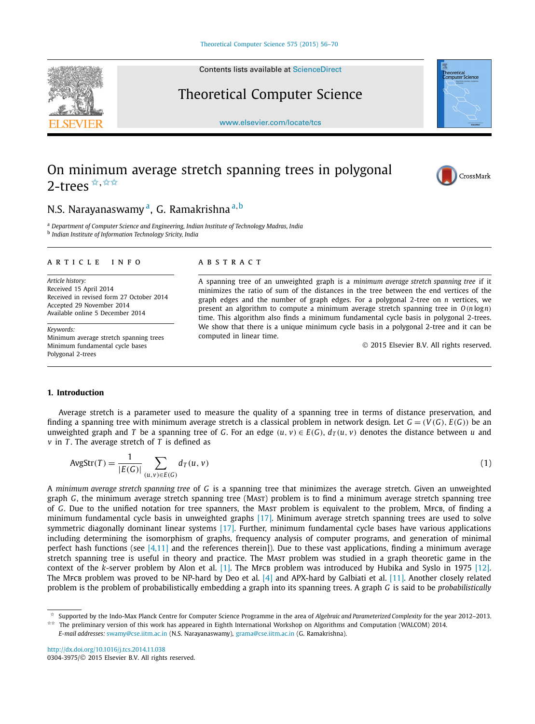Contents lists available at [ScienceDirect](http://www.ScienceDirect.com/)

# Theoretical Computer Science

[www.elsevier.com/locate/tcs](http://www.elsevier.com/locate/tcs)

# On minimum average stretch spanning trees in polygonal 2-trees  $\hat{X}, \hat{X} \hat{X}$

## N.S. Narayanaswamy a, G. Ramakrishna <sup>a</sup>*,*<sup>b</sup>

<sup>a</sup> *Department of Computer Science and Engineering, Indian Institute of Technology Madras, India* <sup>b</sup> *Indian Institute of Information Technology Sricity, India*

#### A R T I C L E I N F O A B S T R A C T

*Article history:* Received 15 April 2014 Received in revised form 27 October 2014 Accepted 29 November 2014 Available online 5 December 2014

*Keywords:* Minimum average stretch spanning trees Minimum fundamental cycle bases Polygonal 2-trees

A spanning tree of an unweighted graph is a *minimum average stretch spanning tree* if it minimizes the ratio of sum of the distances in the tree between the end vertices of the graph edges and the number of graph edges. For a polygonal 2-tree on *n* vertices, we present an algorithm to compute a minimum average stretch spanning tree in *O(n* log*n)* time. This algorithm also finds a minimum fundamental cycle basis in polygonal 2-trees. We show that there is a unique minimum cycle basis in a polygonal 2-tree and it can be computed in linear time.

© 2015 Elsevier B.V. All rights reserved.

### **1. Introduction**

Average stretch is a parameter used to measure the quality of a spanning tree in terms of distance preservation, and finding a spanning tree with minimum average stretch is a classical problem in network design. Let  $G = (V(G), E(G))$  be an unweighted graph and T be a spanning tree of G. For an edge  $(u, v) \in E(G)$ ,  $d_T(u, v)$  denotes the distance between u and *v* in *T* . The average stretch of *T* is defined as

$$
AvgStr(T) = \frac{1}{|E(G)|} \sum_{(u,v)\in E(G)} d_T(u,v)
$$
\n(1)

A *minimum average stretch spanning tree* of *G* is a spanning tree that minimizes the average stretch. Given an unweighted graph *G*, the minimum average stretch spanning tree (Mast) problem is to find a minimum average stretch spanning tree of *G*. Due to the unified notation for tree spanners, the Mast problem is equivalent to the problem, MFCB, of finding a minimum fundamental cycle basis in unweighted graphs [\[17\].](#page-13-0) Minimum average stretch spanning trees are used to solve symmetric diagonally dominant linear systems [\[17\].](#page-13-0) Further, minimum fundamental cycle bases have various applications including determining the isomorphism of graphs, frequency analysis of computer programs, and generation of minimal perfect hash functions (see  $[4,11]$  and the references therein]). Due to these vast applications, finding a minimum average stretch spanning tree is useful in theory and practice. The Mast problem was studied in a graph theoretic game in the context of the *k*-server problem by Alon et al. [\[1\].](#page-13-0) The MFCB problem was introduced by Hubika and Syslo in 1975 [\[12\].](#page-13-0) The MFCB problem was proved to be NP-hard by Deo et al.  $[4]$  and APX-hard by Galbiati et al.  $[11]$ . Another closely related problem is the problem of probabilistically embedding a graph into its spanning trees. A graph *G* is said to be *probabilistically*

<http://dx.doi.org/10.1016/j.tcs.2014.11.038> 0304-3975/© 2015 Elsevier B.V. All rights reserved.

<span id="page-0-0"></span>



cai<br>er Science



<sup>✩</sup> Supported by the Indo-Max Planck Centre for Computer Science Programme in the area of *Algebraic and Parameterized Complexity* for the year 2012–2013.

<sup>✩✩</sup> The preliminary version of this work has appeared in Eighth International Workshop on Algorithms and Computation (WALCOM) 2014. *E-mail addresses:* [swamy@cse.iitm.ac.in](mailto:swamy@cse.iitm.ac.in) (N.S. Narayanaswamy), [grama@cse.iitm.ac.in](mailto:grama@cse.iitm.ac.in) (G. Ramakrishna).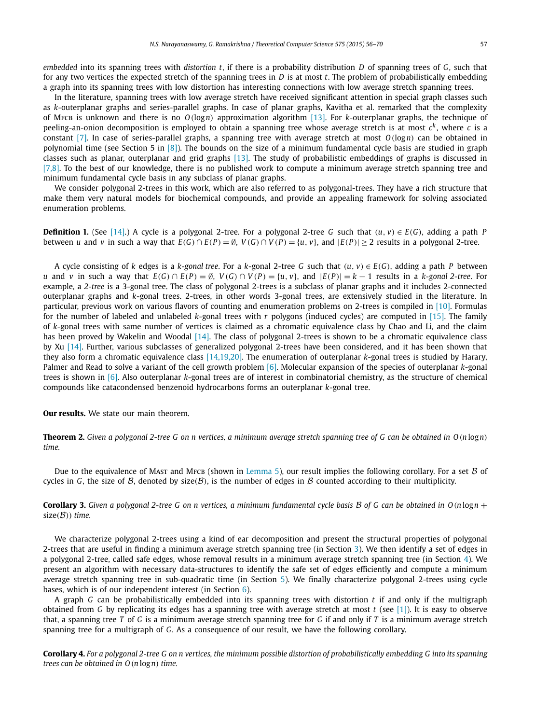<span id="page-1-0"></span>*embedded* into its spanning trees with *distortion t*, if there is a probability distribution *D* of spanning trees of *G*, such that for any two vertices the expected stretch of the spanning trees in *D* is at most *t*. The problem of probabilistically embedding a graph into its spanning trees with low distortion has interesting connections with low average stretch spanning trees.

In the literature, spanning trees with low average stretch have received significant attention in special graph classes such as *k*-outerplanar graphs and series-parallel graphs. In case of planar graphs, Kavitha et al. remarked that the complexity of Mfcb is unknown and there is no *O(*log*n)* approximation algorithm [\[13\].](#page-13-0) For *k*-outerplanar graphs, the technique of peeling-an-onion decomposition is employed to obtain a spanning tree whose average stretch is at most  $c<sup>k</sup>$ , where *c* is a constant [\[7\].](#page-13-0) In case of series-parallel graphs, a spanning tree with average stretch at most *O(*log*n)* can be obtained in polynomial time (see Section 5 in  $[8]$ ). The bounds on the size of a minimum fundamental cycle basis are studied in graph classes such as planar, outerplanar and grid graphs [\[13\].](#page-13-0) The study of probabilistic embeddings of graphs is discussed in [\[7,8\].](#page-13-0) To the best of our knowledge, there is no published work to compute a minimum average stretch spanning tree and minimum fundamental cycle basis in any subclass of planar graphs.

We consider polygonal 2-trees in this work, which are also referred to as polygonal-trees. They have a rich structure that make them very natural models for biochemical compounds, and provide an appealing framework for solving associated enumeration problems.

**Definition 1.** (See [\[14\].](#page-13-0)) A cycle is a polygonal 2-tree. For a polygonal 2-tree *G* such that  $(u, v) \in E(G)$ , adding a path *P* between u and v in such a way that  $E(G) \cap E(P) = \emptyset$ ,  $V(G) \cap V(P) = \{u, v\}$ , and  $|E(P)| \ge 2$  results in a polygonal 2-tree.

A cycle consisting of k edges is a k-gonal tree. For a k-gonal 2-tree G such that  $(u, v) \in E(G)$ , adding a path P between u and v in such a way that  $E(G) \cap E(P) = \emptyset$ ,  $V(G) \cap V(P) = \{u, v\}$ , and  $|E(P)| = k - 1$  results in a k-gonal 2-tree. For example, a *2-tree* is a 3-gonal tree. The class of polygonal 2-trees is a subclass of planar graphs and it includes 2-connected outerplanar graphs and *k*-gonal trees. 2-trees, in other words 3-gonal trees, are extensively studied in the literature. In particular, previous work on various flavors of counting and enumeration problems on 2-trees is compiled in [\[10\].](#page-13-0) Formulas for the number of labeled and unlabeled *k*-gonal trees with *r* polygons (induced cycles) are computed in [\[15\].](#page-13-0) The family of *k*-gonal trees with same number of vertices is claimed as a chromatic equivalence class by Chao and Li, and the claim has been proved by Wakelin and Woodal [\[14\].](#page-13-0) The class of polygonal 2-trees is shown to be a chromatic equivalence class by Xu [\[14\].](#page-13-0) Further, various subclasses of generalized polygonal 2-trees have been considered, and it has been shown that they also form a chromatic equivalence class [\[14,19,20\].](#page-13-0) The enumeration of outerplanar *k*-gonal trees is studied by Harary, Palmer and Read to solve a variant of the cell growth problem [\[6\].](#page-13-0) Molecular expansion of the species of outerplanar *k*-gonal trees is shown in [\[6\].](#page-13-0) Also outerplanar *k*-gonal trees are of interest in combinatorial chemistry, as the structure of chemical compounds like catacondensed benzenoid hydrocarbons forms an outerplanar *k*-gonal tree.

#### **Our results.** We state our main theorem.

**Theorem 2.** Given a polygonal 2-tree G on n vertices, a minimum average stretch spanning tree of G can be obtained in  $O(n \log n)$ *time.*

Due to the equivalence of Mast and MFCB (shown in [Lemma 5\)](#page-2-0), our result implies the following corollary. For a set  $\beta$  of cycles in *G*, the size of *B*, denoted by size(*B*), is the number of edges in *B* counted according to their multiplicity.

**Corollary 3.** Given a polygonal 2-tree G on n vertices, a minimum fundamental cycle basis B of G can be obtained in  $O(n \log n +$  $size(B)$ *) time.* 

We characterize polygonal 2-trees using a kind of ear decomposition and present the structural properties of polygonal 2-trees that are useful in finding a minimum average stretch spanning tree (in Section [3\)](#page-2-0). We then identify a set of edges in a polygonal 2-tree, called safe edges, whose removal results in a minimum average stretch spanning tree (in Section [4\)](#page-5-0). We present an algorithm with necessary data-structures to identify the safe set of edges efficiently and compute a minimum average stretch spanning tree in sub-quadratic time (in Section [5\)](#page-9-0). We finally characterize polygonal 2-trees using cycle bases, which is of our independent interest (in Section [6\)](#page-12-0).

A graph *G* can be probabilistically embedded into its spanning trees with distortion *t* if and only if the multigraph obtained from *G* by replicating its edges has a spanning tree with average stretch at most *t* (see [\[1\]\)](#page-13-0). It is easy to observe that, a spanning tree *T* of *G* is a minimum average stretch spanning tree for *G* if and only if *T* is a minimum average stretch spanning tree for a multigraph of *G*. As a consequence of our result, we have the following corollary.

**Corollary 4.** For a polygonal 2-tree G on n vertices, the minimum possible distortion of probabilistically embedding G into its spanning *trees can be obtained in O(n* log*n) time.*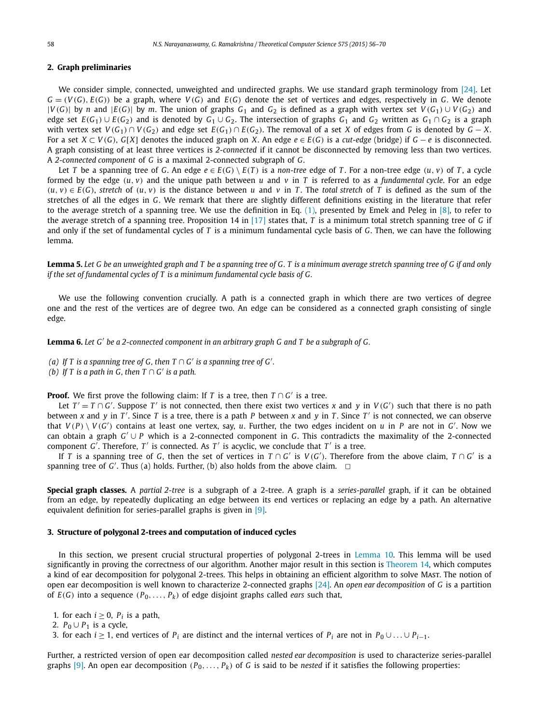#### <span id="page-2-0"></span>**2. Graph preliminaries**

We consider simple, connected, unweighted and undirected graphs. We use standard graph terminology from [\[24\].](#page-14-0) Let  $G = (V(G), E(G))$  be a graph, where  $V(G)$  and  $E(G)$  denote the set of vertices and edges, respectively in G. We denote  $|V(G)|$  by n and  $|E(G)|$  by m. The union of graphs  $G_1$  and  $G_2$  is defined as a graph with vertex set  $V(G_1) \cup V(G_2)$  and edge set  $E(G_1) \cup E(G_2)$  and is denoted by  $G_1 \cup G_2$ . The intersection of graphs  $G_1$  and  $G_2$  written as  $G_1 \cap G_2$  is a graph with vertex set  $V(G_1) \cap V(G_2)$  and edge set  $E(G_1) \cap E(G_2)$ . The removal of a set X of edges from G is denoted by  $G - X$ . For a set  $X \subset V(G)$ . G[X] denotes the induced graph on X. An edge  $e \in E(G)$  is a cut-edge (bridge) if  $G - e$  is disconnected. A graph consisting of at least three vertices is *2-connected* if it cannot be disconnected by removing less than two vertices. A *2-connected component* of *G* is a maximal 2-connected subgraph of *G*.

Let T be a spanning tree of G. An edge  $e \in E(G) \setminus E(T)$  is a non-tree edge of T. For a non-tree edge  $(u, v)$  of T, a cycle formed by the edge  $(u, v)$  and the unique path between *u* and *v* in *T* is referred to as a *fundamental cycle*. For an edge  $(u, v) \in E(G)$ , stretch of  $(u, v)$  is the distance between u and v in T. The total stretch of T is defined as the sum of the stretches of all the edges in *G*. We remark that there are slightly different definitions existing in the literature that refer to the average stretch of a spanning tree. We use the definition in Eq.  $(1)$ , presented by Emek and Peleg in [\[8\],](#page-13-0) to refer to the average stretch of a spanning tree. Proposition 14 in [\[17\]](#page-13-0) states that, *T* is a minimum total stretch spanning tree of *G* if and only if the set of fundamental cycles of *T* is a minimum fundamental cycle basis of *G*. Then, we can have the following lemma.

Lemma 5. Let G be an unweighted graph and T be a spanning tree of G. T is a minimum average stretch spanning tree of G if and only *if the set of fundamental cycles of T is a minimum fundamental cycle basis of G.*

We use the following convention crucially. A path is a connected graph in which there are two vertices of degree one and the rest of the vertices are of degree two. An edge can be considered as a connected graph consisting of single edge.

**Lemma 6.** *Let G be a 2-connected component in an arbitrary graph G and T be a subgraph of G.*

- *(a)* If  $T$  is a spanning tree of  $G$ , then  $T \cap G'$  is a spanning tree of  $G'$ .
- *(b)* If *T* is a path in *G*, then  $T \cap G'$  is a path.

**Proof.** We first prove the following claim: If *T* is a tree, then  $T \cap G'$  is a tree.

Let  $T' = T \cap G'$ . Suppose  $T'$  is not connected, then there exist two vertices *x* and *y* in  $V(G')$  such that there is no path between *x* and *y* in *T'*. Since *T* is a tree, there is a path *P* between *x* and *y* in *T*. Since *T'* is not connected, we can observe that  $V(P) \setminus V(G')$  contains at least one vertex, say, *u*. Further, the two edges incident on *u* in *P* are not in *G'*. Now we can obtain a graph *G* ∪ *P* which is a 2-connected component in *G*. This contradicts the maximality of the 2-connected component  $G'$ . Therefore,  $T'$  is connected. As  $T'$  is acyclic, we conclude that  $T'$  is a tree.

If *T* is a spanning tree of *G*, then the set of vertices in *T* ∩ *G* is *V (G )*. Therefore from the above claim, *T* ∩ *G* is a spanning tree of  $G'$ . Thus (a) holds. Further, (b) also holds from the above claim.  $\Box$ 

**Special graph classes.** A *partial 2-tree* is a subgraph of a 2-tree. A graph is a *series-parallel* graph, if it can be obtained from an edge, by repeatedly duplicating an edge between its end vertices or replacing an edge by a path. An alternative equivalent definition for series-parallel graphs is given in [\[9\].](#page-13-0)

#### **3. Structure of polygonal 2-trees and computation of induced cycles**

In this section, we present crucial structural properties of polygonal 2-trees in [Lemma 10.](#page-3-0) This lemma will be used significantly in proving the correctness of our algorithm. Another major result in this section is [Theorem 14,](#page-5-0) which computes a kind of ear decomposition for polygonal 2-trees. This helps in obtaining an efficient algorithm to solve Mast. The notion of open ear decomposition is well known to characterize 2-connected graphs [\[24\].](#page-14-0) An *open ear decomposition* of *G* is a partition of  $E(G)$  into a sequence  $(P_0, \ldots, P_k)$  of edge disjoint graphs called *ears* such that,

- 1. for each  $i \geq 0$ ,  $P_i$  is a path,
- 2.  $P_0 \cup P_1$  is a cycle,
- 3. for each *i* ≥ 1, end vertices of  $P_i$  are distinct and the internal vertices of  $P_i$  are not in  $P_0 \cup \ldots \cup P_{i-1}$ .

Further, a restricted version of open ear decomposition called *nested ear decomposition* is used to characterize series-parallel graphs [\[9\].](#page-13-0) An open ear decomposition  $(P_0, \ldots, P_k)$  of *G* is said to be *nested* if it satisfies the following properties: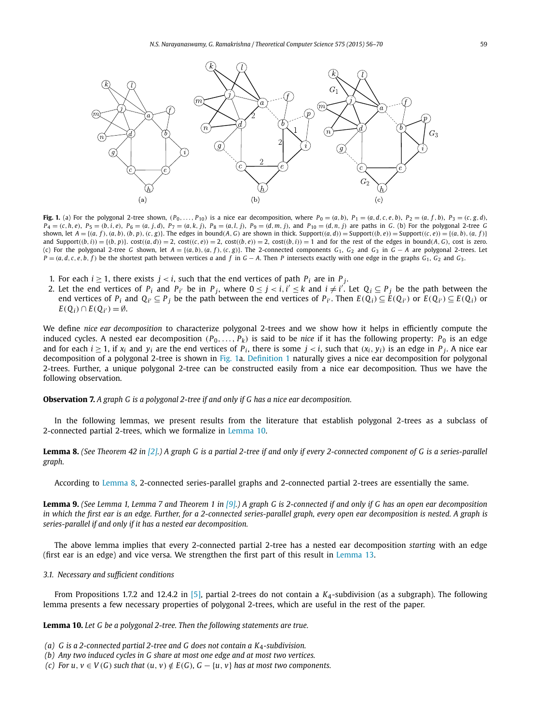<span id="page-3-0"></span>

Fig. 1. (a) For the polygonal 2-tree shown,  $(P_0, \ldots, P_{10})$  is a nice ear decomposition, where  $P_0 = (a, b)$ ,  $P_1 = (a, d, c, e, b)$ ,  $P_2 = (a, f, b)$ ,  $P_3 = (c, g, d)$ ,  $P_4 = (c, h, e), P_5 = (b, i, e), P_6 = (a, j, d), P_7 = (a, k, j), P_8 = (a, l, j), P_9 = (d, m, j),$  and  $P_{10} = (d, n, j)$  are paths in G. (b) For the polygonal 2-tree G shown, let  $A = \{(a, f), (a, b), (b, p), (c, g)\}$ . The edges in bound(A, G) are shown in thick. Support( $(a, d)$ ) = Support( $(b, e)$ ) = Support( $(c, e)$ ) =  $\{(a, b), (a, f)\}$ and Support $((b, i)) = {(b, p)}$ .  $cost((a, d)) = 2$ ,  $cost((c, e)) = 2$ ,  $cost((b, e)) = 2$ ,  $cost((b, i)) = 1$  and for the rest of the edges in bound(A, G), cost is zero. (c) For the polygonal 2-tree G shown, let  $A = \{(a, b), (a, f), (c, g)\}$ . The 2-connected components  $G_1$ ,  $G_2$  and  $G_3$  in  $G - A$  are polygonal 2-trees. Let  $P = (a, d, c, e, b, f)$  be the shortest path between vertices a and f in  $G - A$ . Then P intersects exactly with one edge in the graphs  $G_1$ ,  $G_2$  and  $G_3$ .

- 1. For each  $i \geq 1$ , there exists  $j < i$ , such that the end vertices of path  $P_i$  are in  $P_j$ .
- 2. Let the end vertices of  $P_i$  and  $P_{i'}$  be in  $P_j$ , where  $0 \leq j < i, i' \leq k$  and  $i \neq i'$ . Let  $Q_i \subseteq P_j$  be the path between the end vertices of  $P_i$  and  $Q_i \subseteq P_j$  be the path between the end vertices of  $P_{i'}$ . Then  $E(Q_i) \subseteq E(Q_{i'})$  or  $E(Q_{i'}) \subseteq E(Q_i)$  or  $E(Q_i)$  ∩  $E(Q_{i'}) = ∅$ .

We define *nice ear decomposition* to characterize polygonal 2-trees and we show how it helps in efficiently compute the induced cycles. A nested ear decomposition  $(P_0, \ldots, P_k)$  is said to be *nice* if it has the following property:  $P_0$  is an edge and for each  $i \ge 1$ , if  $x_i$  and  $y_i$  are the end vertices of  $P_i$ , there is some  $j < i$ , such that  $(x_i, y_i)$  is an edge in  $P_j$ . A nice ear decomposition of a polygonal 2-tree is shown in Fig. 1a. [Definition 1](#page-1-0) naturally gives a nice ear decomposition for polygonal 2-trees. Further, a unique polygonal 2-tree can be constructed easily from a nice ear decomposition. Thus we have the following observation.

**Observation 7.** *A graph G is a polygonal 2-tree if and only if G has a nice ear decomposition.*

In the following lemmas, we present results from the literature that establish polygonal 2-trees as a subclass of 2-connected partial 2-trees, which we formalize in Lemma 10.

**Lemma 8.** (See Theorem 42 in [\[2\].](#page-13-0)) A graph G is a partial 2-tree if and only if every 2-connected component of G is a series-parallel *graph.*

According to Lemma 8, 2-connected series-parallel graphs and 2-connected partial 2-trees are essentially the same.

**Lemma 9.** (See Lemma 1, Lemma 7 and Theorem 1 in  $[9]$ .) A graph G is 2-connected if and only if G has an open ear decomposition in which the first ear is an edge. Further, for a 2-connected series-parallel graph, every open ear decomposition is nested. A graph is *series-parallel if and only if it has a nested ear decomposition.*

The above lemma implies that every 2-connected partial 2-tree has a nested ear decomposition *starting* with an edge (first ear is an edge) and vice versa. We strengthen the first part of this result in [Lemma 13.](#page-4-0)

### *3.1. Necessary and sufficient conditions*

From Propositions 1.7.2 and 12.4.2 in [\[5\],](#page-13-0) partial 2-trees do not contain a *K*4-subdivision (as a subgraph). The following lemma presents a few necessary properties of polygonal 2-trees, which are useful in the rest of the paper.

**Lemma 10.** *Let G be a polygonal 2-tree. Then the following statements are true.*

- *(a) G is a 2-connected partial 2-tree and G does not contain a K*4*-subdivision.*
- *(b) Any two induced cycles in G share at most one edge and at most two vertices.*
- (c) For u,  $v \in V(G)$  such that  $(u, v) \notin E(G)$ ,  $G \{u, v\}$  has at most two components.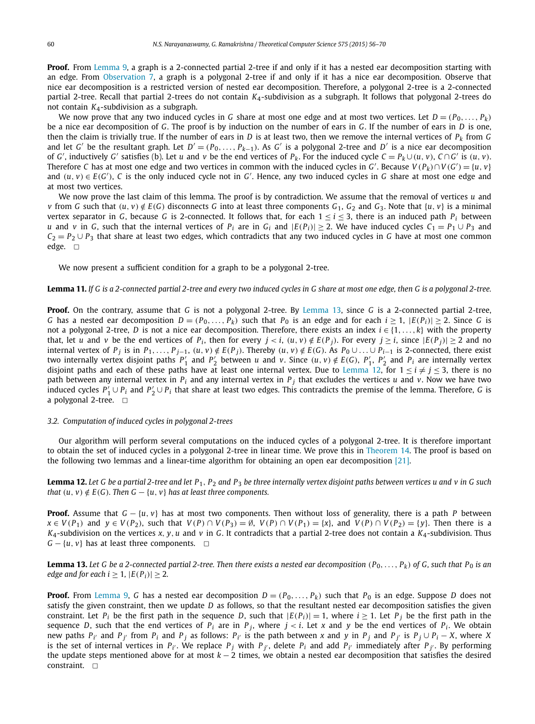<span id="page-4-0"></span>**Proof.** From [Lemma 9,](#page-3-0) a graph is a 2-connected partial 2-tree if and only if it has a nested ear decomposition starting with an edge. From [Observation 7,](#page-3-0) a graph is a polygonal 2-tree if and only if it has a nice ear decomposition. Observe that nice ear decomposition is a restricted version of nested ear decomposition. Therefore, a polygonal 2-tree is a 2-connected partial 2-tree. Recall that partial 2-trees do not contain *K*4-subdivision as a subgraph. It follows that polygonal 2-trees do not contain *K*4-subdivision as a subgraph.

We now prove that any two induced cycles in *G* share at most one edge and at most two vertices. Let  $D = (P_0, \ldots, P_k)$ be a nice ear decomposition of *G*. The proof is by induction on the number of ears in *G*. If the number of ears in *D* is one, then the claim is trivially true. If the number of ears in *D* is at least two, then we remove the internal vertices of  $P_k$  from *G* and let *G'* be the resultant graph. Let  $D' = (P_0, \ldots, P_{k-1})$ . As *G'* is a polygonal 2-tree and *D'* is a nice ear decomposition of G', inductively G' satisfies (b). Let u and v be the end vertices of  $P_k$ . For the induced cycle  $C = P_k \cup (u, v)$ ,  $C \cap G'$  is  $(u, v)$ . Therefore *C* has at most one edge and two vertices in common with the induced cycles in *G'*. Because  $V(P_k) \cap V(G') = \{u, v\}$ and  $(u, v) \in E(G')$ , C is the only induced cycle not in G'. Hence, any two induced cycles in G share at most one edge and at most two vertices.

We now prove the last claim of this lemma. The proof is by contradiction. We assume that the removal of vertices *u* and v from G such that  $(u, v) \notin E(G)$  disconnects G into at least three components  $G_1$ ,  $G_2$  and  $G_3$ . Note that  $\{u, v\}$  is a minimal vertex separator in *G*, because *G* is 2-connected. It follows that, for each  $1 \le i \le 3$ , there is an induced path  $P_i$  between *u* and *v* in *G*, such that the internal vertices of  $P_i$  are in  $G_i$  and  $|E(P_i)| \geq 2$ . We have induced cycles  $C_1 = P_1 \cup P_3$  and  $C_2 = P_2 \cup P_3$  that share at least two edges, which contradicts that any two induced cycles in *G* have at most one common edge.  $\square$ 

We now present a sufficient condition for a graph to be a polygonal 2-tree.

#### **Lemma 11.** If G is a 2-connected partial 2-tree and every two induced cycles in G share at most one edge, then G is a polygonal 2-tree.

**Proof.** On the contrary, assume that *G* is not a polygonal 2-tree. By Lemma 13, since *G* is a 2-connected partial 2-tree, *G* has a nested ear decomposition  $D = (P_0, \ldots, P_k)$  such that  $P_0$  is an edge and for each  $i \ge 1$ ,  $|E(P_i)| \ge 2$ . Since *G* is not a polygonal 2-tree, *D* is not a nice ear decomposition. Therefore, there exists an index *i* ∈ {1*,...,k*} with the property that, let u and v be the end vertices of  $P_i$ , then for every  $j < i$ ,  $(u, v) \notin E(P_i)$ . For every  $j \ge i$ , since  $|E(P_i)| \ge 2$  and no internal vertex of  $P_j$  is in  $P_1, \ldots, P_{j-1}$ ,  $(u, v) \notin E(P_j)$ . Thereby  $(u, v) \notin E(G)$ . As  $P_0 \cup \ldots \cup P_{i-1}$  is 2-connected, there exist two internally vertex disjoint paths  $P'_1$  and  $P'_2$  between u and v. Since  $(u, v) \notin E(G)$ ,  $P'_1$ ,  $P'_2$  and  $P_i$  are internally vertex disjoint paths and each of these paths have at least one internal vertex. Due to Lemma 1 path between any internal vertex in *Pi* and any internal vertex in *P <sup>j</sup>* that excludes the vertices *u* and *v*. Now we have two induced cycles  $P'_1 \cup P_i$  and  $P'_2 \cup P_i$  that share at least two edges. This contradicts the premise of the lemma. Therefore, *G* is a polygonal 2-tree.  $\Box$ 

#### *3.2. Computation of induced cycles in polygonal 2-trees*

Our algorithm will perform several computations on the induced cycles of a polygonal 2-tree. It is therefore important to obtain the set of induced cycles in a polygonal 2-tree in linear time. We prove this in [Theorem 14.](#page-5-0) The proof is based on the following two lemmas and a linear-time algorithm for obtaining an open ear decomposition [\[21\].](#page-14-0)

**Lemma 12.** Let G be a partial 2-tree and let  $P_1$ ,  $P_2$  and  $P_3$  be three internally vertex disjoint paths between vertices u and v in G such *that*  $(u, v) \notin E(G)$ *. Then*  $G - \{u, v\}$  *has at least three components.* 

**Proof.** Assume that *G* − {*u, v*} has at most two components. Then without loss of generality, there is a path *P* between  $x \in V(P_1)$  and  $y \in V(P_2)$ , such that  $V(P) \cap V(P_3) = \emptyset$ ,  $V(P) \cap V(P_1) = \{x\}$ , and  $V(P) \cap V(P_2) = \{y\}$ . Then there is a *K*4-subdivision on the vertices *x, y, u* and *v* in *G*. It contradicts that a partial 2-tree does not contain a *K*4-subdivision. Thus  $G - \{u, v\}$  has at least three components.  $\Box$ 

**Lemma 13.** Let G be a 2-connected partial 2-tree. Then there exists a nested ear decomposition  $(P_0, \ldots, P_k)$  of G, such that P<sub>0</sub> is an *edge* and for each  $i \geq 1$ ,  $|E(P_i)| \geq 2$ .

**Proof.** From [Lemma 9,](#page-3-0) G has a nested ear decomposition  $D = (P_0, \ldots, P_k)$  such that  $P_0$  is an edge. Suppose D does not satisfy the given constraint, then we update *D* as follows, so that the resultant nested ear decomposition satisfies the given constraint. Let  $P_i$  be the first path in the sequence *D*, such that  $|E(P_i)| = 1$ , where  $i \ge 1$ . Let  $P_i$  be the first path in the sequence *D*, such that the end vertices of  $P_i$  are in  $P_j$ , where  $j < i$ . Let *x* and *y* be the end vertices of  $P_i$ . We obtain new paths  $P_{i'}$  and  $P_{j'}$  from  $P_i$  and  $P_j$  as follows:  $P_{i'}$  is the path between x and y in  $P_j$  and  $P_{j'}$  is  $P_j \cup P_i - X$ , where X is the set of internal vertices in  $P_{i'}$ . We replace  $P_j$  with  $P_{j'}$ , delete  $P_i$  and add  $P_{i'}$  immediately after  $P_{j'}$ . By performing the update steps mentioned above for at most *k* − 2 times, we obtain a nested ear decomposition that satisfies the desired constraint.  $\Box$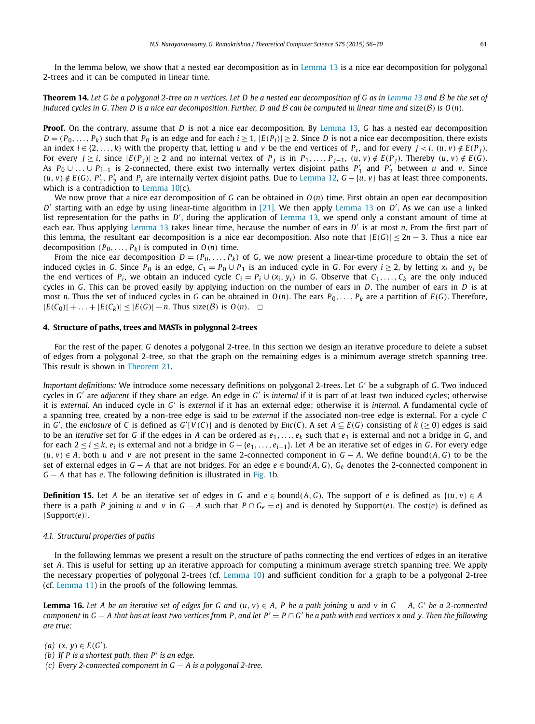<span id="page-5-0"></span>In the lemma below, we show that a nested ear decomposition as in [Lemma 13](#page-4-0) is a nice ear decomposition for polygonal 2-trees and it can be computed in linear time.

**Theorem 14.** Let G be a polygonal 2-tree on n vertices. Let D be a nested ear decomposition of G as in [Lemma 13](#page-4-0) and B be the set of induced cycles in G. Then D is a nice ear decomposition. Further, D and B can be computed in linear time and size( $B$ ) is  $O(n)$ .

**Proof.** On the contrary, assume that *D* is not a nice ear decomposition. By [Lemma 13,](#page-4-0) *G* has a nested ear decomposition  $D = (P_0, \ldots, P_k)$  such that  $P_0$  is an edge and for each  $i \ge 1$ ,  $|E(P_i)| \ge 2$ . Since *D* is not a nice ear decomposition, there exists an index  $i \in \{2, ..., k\}$  with the property that, letting u and v be the end vertices of  $P_i$ , and for every  $j < i$ ,  $(u, v) \notin E(P_i)$ . For every  $j \ge i$ , since  $|E(P_j)| \ge 2$  and no internal vertex of  $P_j$  is in  $P_1, \ldots, P_{j-1}$ ,  $(u, v) \notin E(P_j)$ . Thereby  $(u, v) \notin E(\hat{G})$ . As  $P_0 \cup ... \cup P_{i-1}$  is 2-connected, there exist two internally vertex disjoint paths  $P'_1$  and  $P'_2$  between *u* and *v*. Since  $(u, v) \notin E(G)$ ,  $P'_1$ ,  $P'_2$  and  $P_i$  are internally vertex disjoint paths. Due to [Lemma 12,](#page-4-0)  $G - \{u, v\}$  has at least three components, which is a contradiction to [Lemma 10\(](#page-3-0)c).

We now prove that a nice ear decomposition of *G* can be obtained in *O(n)* time. First obtain an open ear decomposition *D'* starting with an edge by using linear-time algorithm in [\[21\].](#page-14-0) We then apply [Lemma 13](#page-4-0) on *D'*. As we can use a linked list representation for the paths in *D'*, during the application of [Lemma 13,](#page-4-0) we spend only a constant amount of time at each ear. Thus applying [Lemma 13](#page-4-0) takes linear time, because the number of ears in *D'* is at most *n*. From the first part of this lemma, the resultant ear decomposition is a nice ear decomposition. Also note that  $|E(G)| \leq 2n - 3$ . Thus a nice ear decomposition  $(P_0, \ldots, P_k)$  is computed in  $O(n)$  time.

From the nice ear decomposition  $D = (P_0, \ldots, P_k)$  of *G*, we now present a linear-time procedure to obtain the set of induced cycles in *G*. Since *P*<sub>0</sub> is an edge,  $C_1 = P_0 \cup P_1$  is an induced cycle in *G*. For every  $i \ge 2$ , by letting  $x_i$  and  $y_i$  be the end vertices of  $P_i$ , we obtain an induced cycle  $C_i = P_i \cup (x_i, y_i)$  in *G*. Observe that  $C_1, \ldots, C_k$  are the only induced cycles in *G*. This can be proved easily by applying induction on the number of ears in *D*. The number of ears in *D* is at most *n*. Thus the set of induced cycles in *G* can be obtained in  $O(n)$ . The ears  $P_0, \ldots, P_k$  are a partition of  $E(G)$ . Therefore,  $|E(C_0)| + \ldots + |E(C_k)| \leq |E(G)| + n$ . Thus size(B) is  $O(n)$ .  $\Box$ 

#### **4. Structure of paths, trees and MASTs in polygonal 2-trees**

For the rest of the paper, *G* denotes a polygonal 2-tree. In this section we design an iterative procedure to delete a subset of edges from a polygonal 2-tree, so that the graph on the remaining edges is a minimum average stretch spanning tree. This result is shown in [Theorem 21.](#page-7-0)

*Important definitions:* We introduce some necessary definitions on polygonal 2-trees. Let *G* be a subgraph of *G*. Two induced cycles in *G'* are *adjacent* if they share an edge. An edge in *G'* is *internal* if it is part of at least two induced cycles; otherwise it is *external*. An induced cycle in *G* is *external* if it has an external edge; otherwise it is *internal*. A fundamental cycle of a spanning tree, created by a non-tree edge is said to be *external* if the associated non-tree edge is external. For a cycle *C* in G', the enclosure of C is defined as  $G'[V(C)]$  and is denoted by  $Enc(C)$ . A set  $A \subseteq E(G)$  consisting of  $k \geq 0$ ) edges is said to be an *iterative* set for *G* if the edges in *A* can be ordered as  $e_1, \ldots, e_k$  such that  $e_1$  is external and not a bridge in *G*, and for each  $2 \le i \le k$ ,  $e_i$  is external and not a bridge in  $G - \{e_1, \ldots, e_{i-1}\}$ . Let *A* be an iterative set of edges in *G*. For every edge *(u, v)* ∈ *A*, both *u* and *v* are not present in the same 2-connected component in *G* − *A*. We define bound*(A, G)* to be the set of external edges in *G* − *A* that are not bridges. For an edge *e* ∈ bound*(A, G)*, *Ge* denotes the 2-connected component in *G* − *A* that has *e*. The following definition is illustrated in [Fig. 1b](#page-3-0).

**Definition 15.** Let A be an iterative set of edges in G and  $e \in bound(A, G)$ . The support of e is defined as  $\{(u, v) \in A\}$ there is a path *P* joining *u* and *v* in  $G - A$  such that  $P \cap G_e = e$  and is denoted by Support(*e*). The cost(*e*) is defined as | Support*(e)*|.

#### *4.1. Structural properties of paths*

In the following lemmas we present a result on the structure of paths connecting the end vertices of edges in an iterative set *A*. This is useful for setting up an iterative approach for computing a minimum average stretch spanning tree. We apply the necessary properties of polygonal 2-trees (cf. [Lemma 10\)](#page-3-0) and sufficient condition for a graph to be a polygonal 2-tree (cf. [Lemma 11\)](#page-4-0) in the proofs of the following lemmas.

**Lemma 16.** Let A be an iterative set of edges for G and  $(u, v) \in A$ , P be a path joining u and v in  $G - A$ , G' be a 2-connected component in  $G - A$  that has at least two vertices from P, and let  $P' = P \cap G'$  be a path with end vertices x and y. Then the following *are true:*

 $(a)$   $(x, y) \in E(G')$ .

- *(b) If P is a shortest path, then P is an edge.*
- *(c) Every 2-connected component in G* − *A is a polygonal 2-tree.*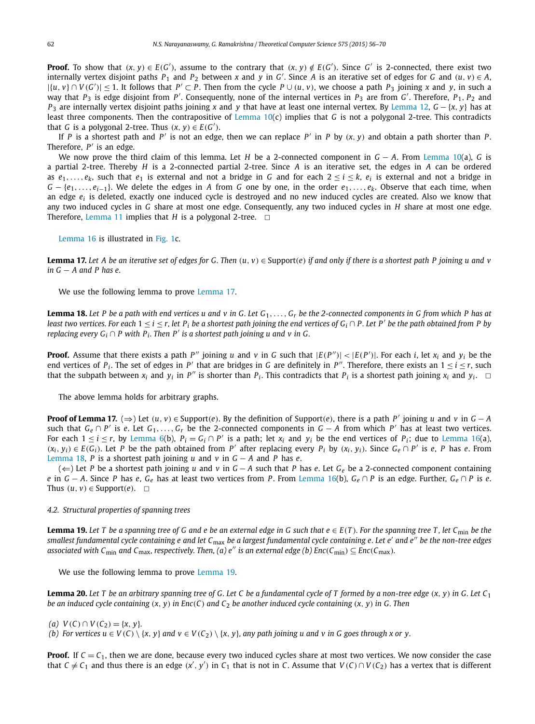<span id="page-6-0"></span>**Proof.** To show that  $(x, y) \in E(G')$ , assume to the contrary that  $(x, y) \notin E(G')$ . Since G' is 2-connected, there exist two internally vertex disjoint paths  $P_1$  and  $P_2$  between x and y in G'. Since A is an iterative set of edges for G and  $(u, v) \in A$ ,  $|\{u, v\} \cap V(G')| \le 1$ . It follows that  $P' \subset P$ . Then from the cycle  $P \cup (u, v)$ , we choose a path  $P_3$  joining x and y, in such a way that  $P_3$  is edge disjoint from P'. Consequently, none of the internal vertices in  $P_3$  are from *G'*. Therefore,  $P_1, P_2$  and *P*<sub>3</sub> are internally vertex disjoint paths joining *x* and *y* that have at least one internal vertex. By [Lemma 12,](#page-4-0) *G* −{*x*, *y*} has at least three components. Then the contrapositive of [Lemma 10\(](#page-3-0)c) implies that *G* is not a polygonal 2-tree. This contradicts that *G* is a polygonal 2-tree. Thus  $(x, y) \in E(G')$ .

If *P* is a shortest path and *P'* is not an edge, then we can replace *P'* in *P* by  $(x, y)$  and obtain a path shorter than *P*. Therefore, *P'* is an edge.

We now prove the third claim of this lemma. Let *H* be a 2-connected component in *G* − *A*. From [Lemma 10\(](#page-3-0)a), *G* is a partial 2-tree. Thereby *H* is a 2-connected partial 2-tree. Since *A* is an iterative set, the edges in *A* can be ordered as  $e_1, \ldots, e_k$ , such that  $e_1$  is external and not a bridge in *G* and for each  $2 \le i \le k$ ,  $e_i$  is external and not a bridge in *G* − {*e*1*,..., ei*−1}. We delete the edges in *A* from *G* one by one, in the order *e*1*,..., ek*. Observe that each time, when an edge *ei* is deleted, exactly one induced cycle is destroyed and no new induced cycles are created. Also we know that any two induced cycles in *G* share at most one edge. Consequently, any two induced cycles in *H* share at most one edge. Therefore, [Lemma 11](#page-4-0) implies that  $H$  is a polygonal 2-tree.  $\Box$ 

[Lemma 16](#page-5-0) is illustrated in [Fig. 1c](#page-3-0).

**Lemma 17.** Let A be an iterative set of edges for G. Then  $(u, v) \in$  Support(e) if and only if there is a shortest path P joining u and v *in G* − *A and P has e.*

We use the following lemma to prove Lemma 17.

**Lemma 18.** Let P be a path with end vertices u and v in G. Let  $G_1, \ldots, G_r$  be the 2-connected components in G from which P has at least two vertices. For each  $1 < i < r$ , let  $P_i$  be a shortest path joining the end vertices of  $G_i \cap P$ . Let P' be the path obtained from P by *replacing every*  $G_i \cap P$  *with*  $P_i$ *. Then*  $P'$  *is a shortest path joining u and v in G.* 

**Proof.** Assume that there exists a path P'' joining u and v in G such that  $|E(P'')| < |E(P')|$ . For each i, let  $x_i$  and  $y_i$  be the end vertices of  $P_i$ . The set of edges in  $P'$  that are bridges in *G* are definitely in  $P''$ . Therefore, there exists an  $1 \le i \le r$ , such that the subpath between  $x_i$  and  $y_i$  in  $P''$  is shorter than  $P_i$ . This contradicts that  $P_i$  is a shortest path joining  $x_i$  and  $y_i$ .

The above lemma holds for arbitrary graphs.

**Proof of Lemma 17.** ( $\Rightarrow$ ) Let  $(u, v) \in$  Support(e). By the definition of Support(e), there is a path P' joining u and v in  $G - A$ such that  $G_e \cap P'$  is *e*. Let  $G_1, \ldots, G_r$  be the 2-connected components in  $G - A$  from which  $P'$  has at least two vertices. For each  $1 \le i \le r$ , by [Lemma 6\(](#page-2-0)b),  $P_i = G_i \cap P'$  is a path; let  $x_i$  and  $y_i$  be the end vertices of  $P_i$ ; due to [Lemma 16\(](#page-5-0)a),  $(x_i, y_i) \in E(G_i)$ . Let P be the path obtained from P' after replacing every P<sub>i</sub> by  $(x_i, y_i)$ . Since  $G_e \cap P'$  is e, P has e. From Lemma 18, *P* is a shortest path joining *u* and *v* in *G* − *A* and *P* has *e*.

(⇐) Let *P* be a shortest path joining *u* and *v* in *G* − *A* such that *P* has *e*. Let *Ge* be a 2-connected component containing *e* in *G* − *A*. Since *P* has *e*, *G<sub>e</sub>* has at least two vertices from *P*. From [Lemma 16\(](#page-5-0)b), *G<sub>e</sub>* ∩ *P* is an edge. Further, *G<sub>e</sub>* ∩ *P* is *e*. Thus  $(u, v) \in$  Support $(e)$ .  $\Box$ 

#### *4.2. Structural properties of spanning trees*

**Lemma 19.** Let T be a spanning tree of G and e be an external edge in G such that  $e \in E(T)$ . For the spanning tree T, let C<sub>min</sub> be the smallest fundamental cycle containing e and let  $C_{\text{max}}$  be a largest fundamental cycle containing e. Let e' and e" be the non-tree edges associated with C<sub>min</sub> and C<sub>max</sub>, respectively. Then, (a) e'' is an external edge (b)  $Enc(C_{min}) \subseteq Enc(C_{max})$ .

We use the following lemma to prove Lemma 19.

**Lemma 20.** Let T be an arbitrary spanning tree of G. Let C be a fundamental cycle of T formed by a non-tree edge  $(x, y)$  in G. Let  $C_1$ be an induced cycle containing  $(x, y)$  in Enc(C) and C<sub>2</sub> be another induced cycle containing  $(x, y)$  in G. Then

 $V(C) \cap V(C_2) = \{x, y\}.$ 

(b) For vertices  $u \in V(C) \setminus \{x, y\}$  and  $v \in V(C_2) \setminus \{x, y\}$ , any path joining u and v in G goes through x or y.

**Proof.** If  $C = C<sub>1</sub>$ , then we are done, because every two induced cycles share at most two vertices. We now consider the case that  $C \neq C_1$  and thus there is an edge  $(x', y')$  in  $C_1$  that is not in C. Assume that  $V(C) \cap V(C_2)$  has a vertex that is different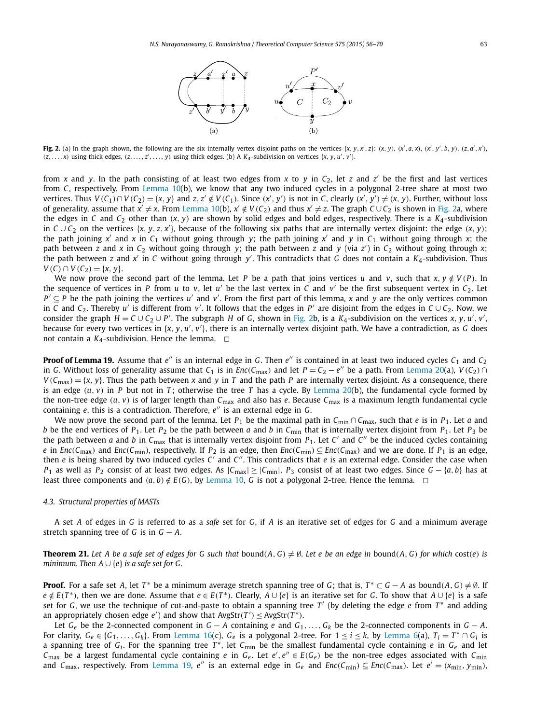

<span id="page-7-0"></span>Fig. 2. (a) In the graph shown, the following are the six internally vertex disjoint paths on the vertices  $\{x, y, x', z\}$ :  $(x, y)$ ,  $(x', a, x)$ ,  $(x', y', b, y)$ ,  $(z, a', x')$ ,  $(z, ..., x)$  using thick edges,  $(z, ..., z', ..., y)$  using thick edges. (b) A  $K_4$ -subdivision on vertices  $\{x, y, u', v'\}$ .

from *x* and *y*. In the path consisting of at least two edges from *x* to *y* in  $C_2$ , let *z* and *z'* be the first and last vertices from *C*, respectively. From [Lemma 10\(](#page-3-0)b), we know that any two induced cycles in a polygonal 2-tree share at most two vertices. Thus  $V(C_1) \cap V(C_2) = \{x, y\}$  and  $z, z' \notin V(C_1)$ . Since  $(x', y')$  is not in C, clearly  $(x', y') \neq (x, y)$ . Further, without loss of generality, assume that  $x' \neq x$ . From [Lemma 10\(](#page-3-0)b),  $x' \notin V(C_2)$  and thus  $x' \neq z$ . The graph  $C \cup C_2$  is shown in Fig. 2a, where the edges in *C* and *C*<sub>2</sub> other than  $(x, y)$  are shown by solid edges and bold edges, respectively. There is a  $K_4$ -subdivision in  $C\cup C_2$  on the vertices  $\{x, y, z, x'\}$ , because of the following six paths that are internally vertex disjoint: the edge  $(x, y)$ ; the path joining  $x'$  and  $x$  in  $C_1$  without going through  $y$ ; the path joining  $x'$  and  $y$  in  $C_1$  without going through  $x$ ; the path between *<sup>z</sup>* and *<sup>x</sup>* in *<sup>C</sup>*<sup>2</sup> without going through *<sup>y</sup>*; the path between *<sup>z</sup>* and *<sup>y</sup>* (via *<sup>z</sup>* ) in *C*<sup>2</sup> without going through *x*; the path between *z* and *x* in *C* without going through *y* . This contradicts that *G* does not contain a *K*4-subdivision. Thus *V* (*C*) ∩ *V* (*C*<sub>2</sub>) = { $x, y$ }.

We now prove the second part of the lemma. Let *P* be a path that joins vertices *u* and *v*, such that  $x, y \notin V(P)$ . In the sequence of vertices in *P* from *u* to *v*, let *u'* be the last vertex in *C* and *v'* be the first subsequent vertex in  $C_2$ . Let  $P' \subseteq P$  be the path joining the vertices *u'* and *v'*. From the first part of this lemma, *x* and *y* are the only vertices common in *<sup>C</sup>* and *<sup>C</sup>*2. Thereby *<sup>u</sup>* is different from *<sup>v</sup>* . It follows that the edges in *<sup>P</sup>* are disjoint from the edges in *<sup>C</sup>* ∪ *<sup>C</sup>*2. Now, we consider the graph  $H = C \cup C_2 \cup P'$ . The subgraph  $H$  of  $G$ , shown in Fig. 2b, is a  $K_4$ -subdivision on the vertices  $x, y, u', v',$ because for every two vertices in {*x*, *y*, *u'*, *v'*}, there is an internally vertex disjoint path. We have a contradiction, as *G* does not contain a  $K_4$ -subdivision. Hence the lemma.  $\Box$ 

**Proof of Lemma 19.** Assume that  $e''$  is an internal edge in *G*. Then  $e''$  is contained in at least two induced cycles  $C_1$  and  $C_2$ in *G*. Without loss of generality assume that  $C_1$  is in  $Enc(C_{\text{max}})$  and let  $P = C_2 - e^{\prime\prime}$  be a path. From [Lemma 20\(](#page-6-0)a),  $V(C_2) \cap$  $V(C_{\text{max}}) = \{x, y\}$ . Thus the path between *x* and *y* in *T* and the path *P* are internally vertex disjoint. As a consequence, there is an edge  $(u, v)$  in *P* but not in *T*; otherwise the tree *T* has a cycle. By [Lemma 20\(](#page-6-0)b), the fundamental cycle formed by the non-tree edge  $(u, v)$  is of larger length than  $C_{\text{max}}$  and also has *e*. Because  $C_{\text{max}}$  is a maximum length fundamental cycle containing *e*, this is a contradiction. Therefore, *e*<sup>*n*</sup> is an external edge in *G*.

We now prove the second part of the lemma. Let *P*<sub>1</sub> be the maximal path in  $C_{min} \cap C_{max}$ , such that *e* is in *P*<sub>1</sub>. Let *a* and *b* be the end vertices of  $P_1$ . Let  $P_2$  be the path between *a* and *b* in  $C_{\text{min}}$  that is internally vertex disjoint from  $P_1$ . Let  $P_3$  be the path between *a* and *b* in  $C_{\text{max}}$  that is internally vertex disjoint from  $P_1$ . Let  $C'$  and  $C''$  be the induced cycles containing e in  $Enc(C_{max})$  and  $Enc(C_{min})$ , respectively. If  $P_2$  is an edge, then  $Enc(C_{min}) \subseteq Enc(C_{max})$  and we are done. If  $P_1$  is an edge, then *e* is being shared by two induced cycles *C'* and *C*". This contradicts that *e* is an external edge. Consider the case when *P*<sub>1</sub> as well as *P*<sub>2</sub> consist of at least two edges. As  $|C_{\text{max}}| \ge |C_{\text{min}}|$ , *P*<sub>3</sub> consist of at least two edges. Since *G* − {*a*, *b*} has at least three components and  $(a, b) \notin E(G)$ , by [Lemma 10,](#page-3-0) *G* is not a polygonal 2-tree. Hence the lemma.  $\Box$ 

#### *4.3. Structural properties of MASTs*

A set *A* of edges in *G* is referred to as a *safe* set for *G*, if *A* is an iterative set of edges for *G* and a minimum average stretch spanning tree of *G* is in  $G - A$ .

**Theorem 21.** Let A be a safe set of edges for G such that bound $(A, G) \neq \emptyset$ . Let e be an edge in bound $(A, G)$  for which cost(e) is *minimum. Then*  $A \cup \{e\}$  *is a safe set for G.* 

**Proof.** For a safe set *A*, let *T*<sup>\*</sup> be a minimum average stretch spanning tree of *G*; that is,  $T^* \subset G - A$  as bound $(A, G) \neq \emptyset$ . If  $e \notin E(T^*)$ , then we are done. Assume that  $e \in E(T^*)$ . Clearly,  $A \cup \{e\}$  is an iterative set for G. To show that  $A \cup \{e\}$  is a safe set for *G*, we use the technique of cut-and-paste to obtain a spanning tree *T* (by deleting the edge *e* from *T* <sup>∗</sup> and adding an appropriately chosen edge  $e'$ ) and show that  $AvgStr(T') \leq AvgStr(T^*)$ .

Let  $G_e$  be the 2-connected component in  $G - A$  containing  $e$  and  $G_1, \ldots, G_k$  be the 2-connected components in  $G - A$ . For clarity,  $G_e \in \{G_1, \ldots, G_k\}$ . From [Lemma 16\(](#page-5-0)c),  $G_e$  is a polygonal 2-tree. For  $1 \le i \le k$ , by [Lemma 6\(](#page-2-0)a),  $T_i = T^* \cap G_i$  is <sup>a</sup> spanning tree of *Gi* . For the spanning tree *<sup>T</sup>* <sup>∗</sup>, let *<sup>C</sup>*min be the smallest fundamental cycle containing *<sup>e</sup>* in *Ge* and let *C*<sub>max</sub> be a largest fundamental cycle containing *e* in  $G_e$ . Let  $e', e'' \in E(G_e)$  be the non-tree edges associated with  $C_{min}$ and  $C_{\text{max}}$ , respectively. From [Lemma 19,](#page-6-0) e'' is an external edge in  $G_e$  and  $Enc(C_{\text{min}}) \subseteq Enc(C_{\text{max}})$ . Let  $e' = (x_{\text{min}}, y_{\text{min}})$ ,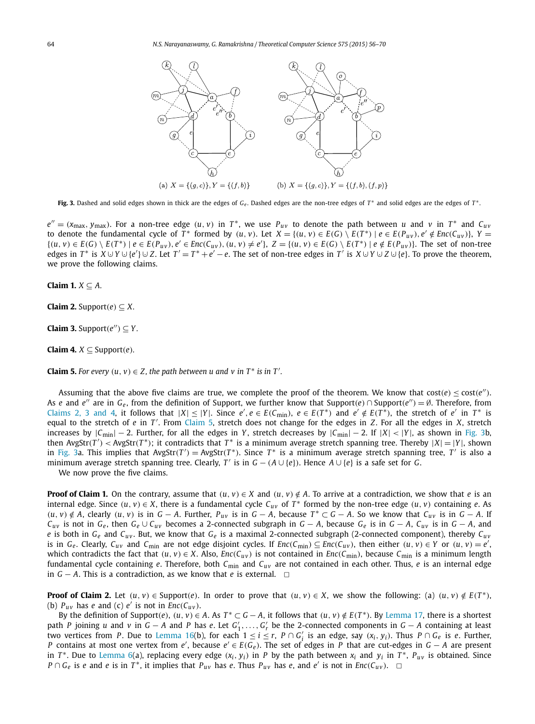

**Fig. 3.** Dashed and solid edges shown in thick are the edges of *G<sub>e</sub>*. Dashed edges are the non-tree edges of *T*<sup>∗</sup> and solid edges are the edges of *T*<sup>∗</sup>.

 $e'' = (x_{max}, y_{max})$ . For a non-tree edge  $(u, v)$  in  $T^*$ , we use  $P_{uv}$  to denote the path between u and v in  $T^*$  and  $C_{uv}$ to denote the fundamental cycle of T\* formed by  $(u, v)$ . Let  $X = \{(u, v) \in E(G) \setminus E(T^*) | e \in E(P_{uv})\}$ ,  $e' \notin Enc(C_{uv})\}$ ,  $Y =$  $\{(u, v) \in E(G) \setminus E(T^*) \mid e \in E(P_{uv}), e' \in Enc(C_{uv}), (u, v) \neq e'\}, Z = \{(u, v) \in E(G) \setminus E(T^*) \mid e \notin E(P_{uv})\}.$  The set of non-tree edges in  $T^*$  is  $X \cup Y \cup \{e'\} \cup Z$ . Let  $T' = T^* + e' - e$ . The set of non-tree edges in T' is  $X \cup Y \cup Z \cup \{e\}$ . To prove the theorem, we prove the following claims.

**Claim 1.** *X* ⊆ *A.*

**Claim 2.** Support $(e) \subseteq X$ .

**Claim 3.** Support $(e'') \subseteq Y$ .

**Claim 4.**  $X \subseteq \text{Support}(e)$ *.* 

**Claim 5.** For every  $(u, v) \in Z$ , the path between  $u$  and  $v$  in  $T^*$  is in  $T'$ .

Assuming that the above five claims are true, we complete the proof of the theorem. We know that  $cost(e) \leq cost(e'')$ . As *e* and *e*<sup>*''*</sup> are in  $G_e$ , from the definition of Support, we further know that Support $(e) \cap$  Support $(e'') = \emptyset$ . Therefore, from Claims 2, 3 and 4, it follows that  $|X| \le |Y|$ . Since  $e', e \in E(C_{\min})$ ,  $e \in E(T^*)$  and  $e' \notin E(T^*)$ , the stretch of  $e'$  in  $T^*$  is equal to the stretch of *e* in *T'*. From Claim 5, stretch does not change for the edges in *Z*. For all the edges in *X*, stretch increases by |*C*min| − 2. Further, for all the edges in *Y* , stretch decreases by |*C*min| − 2. If |*X*| *<* |*Y* |, as shown in Fig. 3b, then  $AvgStr(T') < AvgStr(T^*)$ ; it contradicts that  $T^*$  is a minimum average stretch spanning tree. Thereby  $|X| = |Y|$ , shown in Fig. 3a. This implies that  $AvgStr(T') = AvgStr(T^*)$ . Since  $T^*$  is a minimum average stretch spanning tree,  $T'$  is also a minimum average stretch spanning tree. Clearly, *T'* is in  $G - (A \cup \{e\})$ . Hence  $A \cup \{e\}$  is a safe set for *G*.

We now prove the five claims.

**Proof of Claim 1.** On the contrary, assume that  $(u, v) \in X$  and  $(u, v) \notin A$ . To arrive at a contradiction, we show that e is an internal edge. Since  $(u, v) \in X$ , there is a fundamental cycle  $C_{uv}$  of  $T^*$  formed by the non-tree edge  $(u, v)$  containing *e*. As  $(u, v) \notin A$ , clearly  $(u, v)$  is in  $G - A$ . Further,  $P_{uv}$  is in  $G - A$ , because  $T^* \subset G - A$ . So we know that  $C_{uv}$  is in  $G - A$ . If *Cuv* is not in  $G_e$ , then  $G_e \cup C_{uv}$  becomes a 2-connected subgraph in  $G - A$ , because  $G_e$  is in  $G - A$ ,  $C_{uv}$  is in  $G - A$ , and *e* is both in *Ge* and *Cuv* . But, we know that *Ge* is a maximal 2-connected subgraph (2-connected component), thereby *Cuv* is in  $G_e$ . Clearly,  $C_{uv}$  and  $C_{min}$  are not edge disjoint cycles. If  $Enc(C_{min}) \subseteq Enc(C_{uv})$ , then either  $(u, v) \in Y$  or  $(u, v) = e'$ , which contradicts the fact that  $(u, v) \in X$ . Also,  $Enc(C_{uv})$  is not contained in  $Enc(C_{min})$ , because  $C_{min}$  is a minimum length fundamental cycle containing *e*. Therefore, both *C*min and *Cuv* are not contained in each other. Thus, *e* is an internal edge in  $G - A$ . This is a contradiction, as we know that *e* is external.  $□$ 

**Proof of Claim 2.** Let  $(u, v) \in$  Support(e). In order to prove that  $(u, v) \in X$ , we show the following: (a)  $(u, v) \notin E(T^*)$ . (b)  $P_{uv}$  has *e* and (c) *e'* is not in  $Enc(C_{uv})$ .

By the definition of Support(e),  $(u, v) \in A$ . As  $T^* \subset G - A$ , it follows that  $(u, v) \notin E(T^*)$ . By [Lemma 17,](#page-6-0) there is a shortest path *P* joining *u* and *v* in  $G - A$  and *P* has *e*. Let  $G'_1, \ldots, G'_r$  be the 2-connected components in  $G - A$  containing at least two vertices from *P*. Due to [Lemma 16\(](#page-5-0)b), for each  $1 \le i \le r$ ,  $P \cap G_i'$  is an edge, say  $(x_i, y_i)$ . Thus  $P \cap G_e$  is *e*. Further, *P* contains at most one vertex from *e'*, because *e'* ∈ *E*(*G<sub>e</sub>*). The set of edges in *P* that are cut-edges in *G* − *A* are present in  $T^*$ . Due to [Lemma 6\(](#page-2-0)a), replacing every edge  $(x_i, y_i)$  in *P* by the path between  $x_i$  and  $y_i$  in  $T^*$ ,  $P_{uv}$  is obtained. Since *P* ∩ *G*<sub>*e*</sub> is *e* and *e* is in *T*<sup>\*</sup>, it implies that *P<sub>uv</sub>* has *e*. Thus *P<sub>uv</sub>* has *e*, and *e'* is not in *Enc*(*C<sub>uv</sub>*).  $\Box$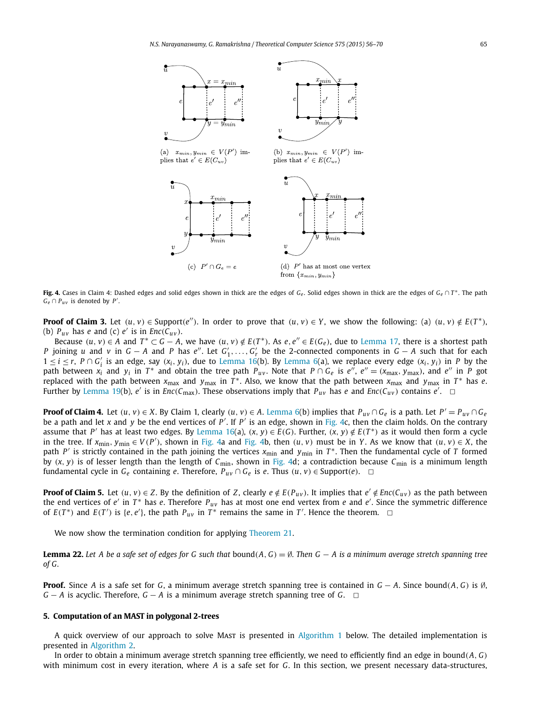<span id="page-9-0"></span>

**Fig. 4.** Cases in Claim 4: Dashed edges and solid edges shown in thick are the edges of *Ge* . Solid edges shown in thick are the edges of *Ge* ∩ *<sup>T</sup>* <sup>∗</sup>. The path  $G_e \cap P_{uv}$  is denoted by *P'*.

**Proof of Claim 3.** Let  $(u, v) \in \text{Support}(e'')$ . In order to prove that  $(u, v) \in Y$ , we show the following: (a)  $(u, v) \notin E(T^*)$ , (b)  $P_{uv}$  has *e* and (c) *e'* is in *Enc*( $C_{uv}$ ).

Because  $(u, v) \in A$  and  $T^* \subset G - A$ , we have  $(u, v) \notin E(T^*)$ . As  $e, e'' \in E(G_e)$ , due to [Lemma 17,](#page-6-0) there is a shortest path *P* joining *u* and *v* in *G* − *A* and *P* has *e*<sup>*n*</sup>. Let *G*<sub>1</sub>,...,*G*<sub>*r*</sub> be the 2-connected components in *G* − *A* such that for each  $1 \le i \le r$ ,  $P \cap G_i'$  is an edge, say  $(x_i, y_i)$ , due to [Lemma 16\(](#page-5-0)b). By [Lemma 6\(](#page-2-0)a), we replace every edge  $(x_i, y_i)$  in P by the path between  $x_i$  and  $y_i$  in  $T^*$  and obtain the tree path  $P_{uv}$ . Note that  $P \cap G_e$  is  $e'' = (x_{max}, y_{max})$ , and  $e''$  in  $P$  got replaced with the path between  $x_{\text{max}}$  and  $y_{\text{max}}$  in  $T^*$ . Also, we know that the path between  $x_{\text{max}}$  and  $y_{\text{max}}$  in  $T^*$  has *e*. Further by [Lemma 19\(](#page-6-0)b),  $e'$  is in  $Enc(C_{max})$ . These observations imply that  $P_{uv}$  has  $e$  and  $Enc(C_{uv})$  contains  $e'$ .

**Proof of Claim 4.** Let  $(u, v) \in X$ . By Claim 1, clearly  $(u, v) \in A$ . [Lemma 6\(](#page-2-0)b) implies that  $P_{uv} \cap G_e$  is a path. Let  $P' = P_{uv} \cap G_e$ be a path and let *x* and *y* be the end vertices of *P* . If *P* is an edge, shown in Fig. 4c, then the claim holds. On the contrary assume that P' has at least two edges. By [Lemma 16\(](#page-5-0)a),  $(x, y) \in E(G)$ . Further,  $(x, y) \notin E(T^*)$  as it would then form a cycle in the tree. If  $x_{min}$ ,  $y_{min} \in V(P')$ , shown in Fig. 4a and Fig. 4b, then  $(u, v)$  must be in Y. As we know that  $(u, v) \in X$ , the path *<sup>P</sup>* is strictly contained in the path joining the vertices *<sup>x</sup>*min and *<sup>y</sup>*min in *<sup>T</sup>* <sup>∗</sup>. Then the fundamental cycle of *<sup>T</sup>* formed by  $(x, y)$  is of lesser length than the length of  $C_{\text{min}}$ , shown in Fig. 4d; a contradiction because  $C_{\text{min}}$  is a minimum length fundamental cycle in *Ge* containing *<sup>e</sup>*. Therefore, *Puv* <sup>∩</sup> *Ge* is *<sup>e</sup>*. Thus *(u, <sup>v</sup>)* <sup>∈</sup> Support*(e)*. ✷

**Proof of Claim 5.** Let  $(u, v) \in Z$ . By the definition of Z, clearly  $e \notin E(P_{uv})$ . It implies that  $e' \notin Enc(C_{uv})$  as the path between the end vertices of *e'* in *T*<sup>∗</sup> has *e*. Therefore *P<sub>uv</sub>* has at most one end vertex from *e* and *e'*. Since the symmetric difference of  $E(T^*)$  and  $E(T')$  is {*e*, *e'*}, the path  $P_{uv}$  in  $T^*$  remains the same in  $T'$ . Hence the theorem.  $\Box$ 

We now show the termination condition for applying [Theorem 21.](#page-7-0)

**Lemma 22.** Let A be a safe set of edges for G such that bound( $A, G$ ) =  $\emptyset$ . Then  $G - A$  is a minimum average stretch spanning tree *of G.*

**Proof.** Since *A* is a safe set for *G*, a minimum average stretch spanning tree is contained in *G* − *A*. Since bound*(A, G)* is ∅, *G* − *A* is acyclic. Therefore, *G* − *A* is a minimum average stretch spanning tree of *G*.  $\Box$ 

#### **5. Computation of an MAST in polygonal 2-trees**

A quick overview of our approach to solve Mast is presented in [Algorithm 1](#page-10-0) below. The detailed implementation is presented in [Algorithm 2.](#page-10-0)

In order to obtain a minimum average stretch spanning tree efficiently, we need to efficiently find an edge in bound*(A, G)* with minimum cost in every iteration, where *A* is a safe set for *G*. In this section, we present necessary data-structures,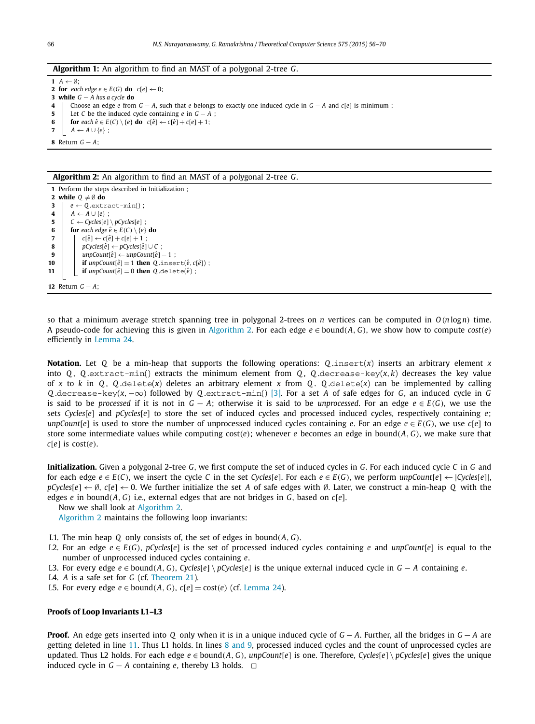#### <span id="page-10-0"></span>**Algorithm 1:** An algorithm to find an MAST of a polygonal 2-tree *G*.

 $A \leftarrow \emptyset$ ; **for** *each edge*  $e \in E(G)$  **do**  $c[e] \leftarrow 0$ ; **while** *G* − *A has a cycle* **do** Choose an edge *e* from *G* − *A*, such that *e* belongs to exactly one induced cycle in *G* − *A* and *c*[*e*] is minimum ; Let *C* be the induced cycle containing *e* in *G* − *A* ; **for**  $\operatorname{each} \hat{e} \in E(C) \setminus \{e\}$  **do**  $c[\hat{e}] \leftarrow c[\hat{e}] + c[e] + 1;$   $A \leftarrow A \cup \{e\};$ Return *G* − *A*;

#### **Algorithm 2:** An algorithm to find an MAST of a polygonal 2-tree *G*.

 Perform the steps described in Initialization ; **while** *Q* = ∅ **do**  $e \leftarrow Q.\text{extract-min}()$ ;  $A \leftarrow A \cup \{e\}$ :  $C \leftarrow Cycles[e] \setminus pCycles[e]$ ; **for** *each edge*  $\hat{e} \in E(C) \setminus \{e\}$  **do**   $c[\hat{e}] \leftarrow c[\hat{e}] + c[e] + 1$ ; *pCycles*[ $\hat{e}$ ] ← *pCycles*[ $\hat{e}$ ] ∪ *C* ;  $unpCount[\hat{e}] \leftarrow unpCount[\hat{e}] - 1$ ; **if**  $\text{unpCount}[\hat{e}] = 1$  **then**  $Q \text{.insert}(\hat{e}, c[\hat{e}])$ ; **if**  $\text{unpCount}[\hat{e}] = 0$  **then**  $Q \text{.delete}(\hat{e})$ ; Return *G* − *A*;

so that a minimum average stretch spanning tree in polygonal 2-trees on *n* vertices can be computed in  $O(n \log n)$  time. A pseudo-code for achieving this is given in Algorithm 2. For each edge  $e \in \text{bound}(A, G)$ , we show how to compute *cost* $(e)$ efficiently in [Lemma 24.](#page-11-0)

**Notation.** Let *Q* be a min-heap that supports the following operations: *Q* .insert(*x*) inserts an arbitrary element *x* into  $Q$ ,  $Q$ , extract-min() extracts the minimum element from  $Q$ ,  $Q$ , decrease-key( $x$ ,  $k$ ) decreases the key value of *x* to *k* in *Q*, *Q* .delete(*x*) deletes an arbitrary element *x* from *Q*. *Q* .delete(*x*) can be implemented by calling *Q* .decrease-key(*x,*−∞) followed by *Q* .extract-min() [\[3\].](#page-13-0) For a set *A* of safe edges for *G*, an induced cycle in *G* is said to be *processed* if it is not in  $G - A$ ; otherwise it is said to be *unprocessed*. For an edge  $e \in E(G)$ , we use the sets *Cycles*[*e*] and *pCycles*[*e*] to store the set of induced cycles and processed induced cycles, respectively containing *e*; *unpCount*[ $e$ ] is used to store the number of unprocessed induced cycles containing *e*. For an edge  $e \in E(G)$ , we use  $c[e]$  to store some intermediate values while computing cost*(e)*; whenever *e* becomes an edge in bound*(A, G)*, we make sure that *c*[*e*] is cost*(e)*.

**Initialization.** Given a polygonal 2-tree *G*, we first compute the set of induced cycles in *G*. For each induced cycle *C* in *G* and for each edge  $e \in E(C)$ , we insert the cycle C in the set Cycles[e]. For each  $e \in E(G)$ , we perform  $unpCount[e] \leftarrow |Cycles[e]|$ , *pCycles*[*e*] ← ∅, *c*[*e*] ← 0. We further initialize the set *A* of safe edges with ∅. Later, we construct a min-heap *Q* with the edges *e* in bound( $A$ ,  $G$ ) i.e., external edges that are not bridges in  $G$ , based on  $c[e]$ .

Now we shall look at Algorithm 2.

Algorithm 2 maintains the following loop invariants:

- L1. The min heap *Q* only consists of, the set of edges in bound*(A, G)*.
- L2. For an edge *e* ∈ *E*(*G*), *pCycles*[*e*] is the set of processed induced cycles containing *e* and *unpCount*[*e*] is equal to the number of unprocessed induced cycles containing *e*.
- L3. For every edge  $e \in \text{bound}(A, G)$ ,  $\text{Cycles}[e] \setminus p\text{Cycles}[e]$  is the unique external induced cycle in  $G A$  containing  $e$ .
- L4. *A* is a safe set for *G* (cf. [Theorem 21\)](#page-7-0).
- L5. For every edge *e* ∈ bound(*A*, *G*),  $c[e]$  = cost(*e*) (cf. [Lemma 24\)](#page-11-0).

#### **Proofs of Loop Invariants L1–L3**

**Proof.** An edge gets inserted into *Q* only when it is in a unique induced cycle of *G* − *A*. Further, all the bridges in *G* − *A* are getting deleted in line 11. Thus L1 holds. In lines 8 and 9, processed induced cycles and the count of unprocessed cycles are updated. Thus L2 holds. For each edge  $e \in bound(A, G)$ ,  $unpCount[e]$  is one. Therefore,  $Cycle[s] \setminus pCycle[s]$  gives the unique induced cycle in  $G - A$  containing *e*, thereby L3 holds.  $□$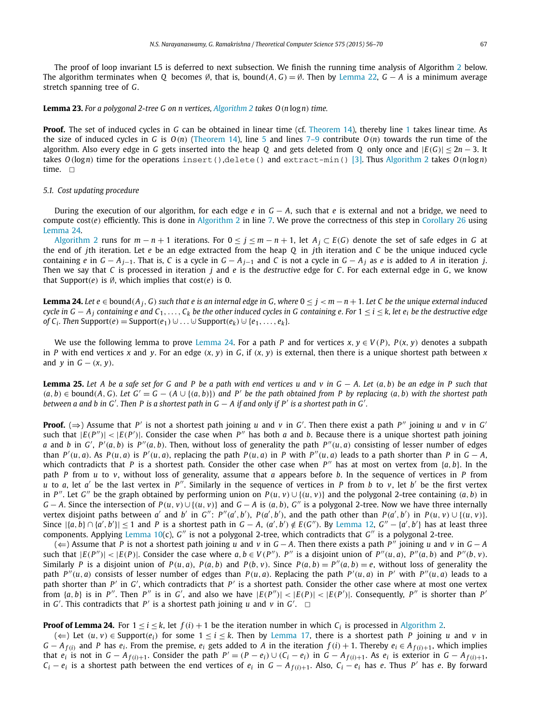<span id="page-11-0"></span>The proof of loop invariant L5 is deferred to next subsection. We finish the running time analysis of Algorithm [2](#page-10-0) below. The algorithm terminates when *Q* becomes ∅, that is, bound*(A, G)* = ∅. Then by [Lemma 22,](#page-9-0) *G* − *A* is a minimum average stretch spanning tree of *G*.

#### **Lemma 23.** *For a polygonal 2-tree G on n vertices, [Algorithm 2](#page-10-0) takes O(n* log*n) time.*

**Proof.** The set of induced cycles in *G* can be obtained in linear time (cf. [Theorem 14\)](#page-5-0), thereby line [1](#page-10-0) takes linear time. As the size of induced cycles in *G* is *O(n)* [\(Theorem 14\)](#page-5-0), line [5](#page-10-0) and lines [7–9](#page-10-0) contribute *O(n)* towards the run time of the algorithm. Also every edge in *G* gets inserted into the heap *Q* and gets deleted from *Q* only once and |*E(G)*| ≤ 2*n* − 3. It takes *O(*log*n)* time for the operations insert(),delete() and extract-min() [\[3\].](#page-13-0) Thus [Algorithm 2](#page-10-0) takes *O(n* log*n)* time.  $\square$ 

#### *5.1. Cost updating procedure*

During the execution of our algorithm, for each edge *e* in *G* − *A*, such that *e* is external and not a bridge, we need to compute cost $(e)$  efficiently. This is done in [Algorithm 2](#page-10-0) in line [7.](#page-10-0) We prove the correctness of this step in [Corollary 26](#page-12-0) using Lemma 24.

[Algorithm 2](#page-10-0) runs for  $m - n + 1$  iterations. For  $0 \le j \le m - n + 1$ , let  $A_j \subset E(G)$  denote the set of safe edges in *G* at the end of *j*th iteration. Let *e* be an edge extracted from the heap *Q* in *j*th iteration and *C* be the unique induced cycle containing e in  $G - A_{i-1}$ . That is, C is a cycle in  $G - A_{i-1}$  and C is not a cycle in  $G - A_i$  as e is added to A in iteration j. Then we say that *C* is processed in iteration *j* and *e* is the *destructive* edge for *C*. For each external edge in *G*, we know that Support $(e)$  is  $\emptyset$ , which implies that cost $(e)$  is 0.

**Lemma 24.** Let  $e \in$  bound( $A_i$ , G) such that e is an internal edge in G, where  $0 \le j < m - n + 1$ . Let C be the unique external induced cycle in  $G - A_i$  containing e and  $C_1, \ldots, C_k$  be the other induced cycles in G containing e. For  $1 \le i \le k$ , let  $e_i$  be the destructive edge *of*  $C_i$ *. Then* Support $(e)$  = Support $(e_1)$  ∪  $\ldots$  ∪ Support $(e_k)$  ∪  $\{e_1, \ldots, e_k\}$ .

We use the following lemma to prove Lemma 24. For a path *P* and for vertices  $x, y \in V(P)$ ,  $P(x, y)$  denotes a subpath in P with end vertices x and y. For an edge  $(x, y)$  in G, if  $(x, y)$  is external, then there is a unique shortest path between x and *y* in  $G - (x, y)$ .

**Lemma 25.** Let A be a safe set for G and P be a path with end vertices u and v in  $G - A$ . Let  $(a, b)$  be an edge in P such that  $(a, b) \in bound(A, G)$ . Let  $G' = G - (A \cup \{(a, b)\})$  and P' be the path obtained from P by replacing  $(a, b)$  with the shortest path between a and b in  $G'$ . Then P is a shortest path in  $G - A$  if and only if P' is a shortest path in  $G'$ .

**Proof.** ( $\Rightarrow$ ) Assume that *P'* is not a shortest path joining *u* and *v* in *G'*. Then there exist a path *P''* joining *u* and *v* in *G'* such that  $|E(P'')|$  <  $|E(P')|$ . Consider the case when  $P''$  has both *a* and *b*. Because there is a unique shortest path joining a and b in G',  $P'(a, b)$  is  $P''(a, b)$ . Then, without loss of generality the path  $P''(u, a)$  consisting of lesser number of edges than  $P'(u, a)$ . As  $P(u, a)$  is  $P'(u, a)$ , replacing the path  $P(u, a)$  in P with  $P''(u, a)$  leads to a path shorter than P in  $G - A$ , which contradicts that *P* is a shortest path. Consider the other case when  $P''$  has at most on vertex from  $\{a, b\}$ . In the path *P* from *u* to *v*, without loss of generality, assume that *a* appears before *b*. In the sequence of vertices in *P* from *u* to *a*, let *a'* be the last vertex in *P''*. Similarly in the sequence of vertices in *P* from *b* to *v*, let *b'* be the first vertex in P''. Let G'' be the graph obtained by performing union on  $P(u, v) \cup \{(u, v)\}\$  and the polygonal 2-tree containing  $(a, b)$  in  $G-A$ . Since the intersection of  $P(u, v) \cup \{(u, v)\}$  and  $G-A$  is  $(a, b)$ , G'' is a polygonal 2-tree. Now we have three internally vertex disjoint paths between a' and b' in G":  $P''(a', b')$ ,  $P(a', b')$ , and the path other than  $P(a', b')$  in  $P(u, v) \cup \{(u, v)\}$ . Since  $|\{a,b\}\cap\{a',b'\}|\leq 1$  and P is a shortest path in  $G-A$ ,  $(a',b')\notin E(G'')$ . By [Lemma 12,](#page-4-0)  $G''-\{a',b'\}$  has at least three components. Applying [Lemma 10\(](#page-3-0)c), *G*" is not a polygonal 2-tree, which contradicts that *G*" is a polygonal 2-tree.

(⇐) Assume that *P* is not a shortest path joining *u* and *v* in *G* − *A*. Then there exists a path *P* joining *u* and *v* in *G* − *A* such that  $|E(P'')|$  <  $|E(P)|$ . Consider the case where  $a, b \in V(P'')$ . P'' is a disjoint union of  $P''(u, a)$ ,  $P''(a, b)$  and  $P''(b, v)$ . Similarly P is a disjoint union of  $P(u, a)$ ,  $P(a, b)$  and  $P(b, v)$ . Since  $P(a, b) = P''(a, b) = e$ , without loss of generality the path  $P''(u, a)$  consists of lesser number of edges than  $P(u, a)$ . Replacing the path  $P'(u, a)$  in  $P'$  with  $P''(u, a)$  leads to a path shorter than *P* in *G* , which contradicts that *P* is a shortest path. Consider the other case where at most one vertex from  $\{a,b\}$  is in P''. Then P'' is in G', and also we have  $|E(P'')| < |E(P)| < |E(P')|$ . Consequently, P'' is shorter than P' in *G'*. This contradicts that  $P'$  is a shortest path joining *u* and *v* in *G'*.  $\Box$ 

**Proof of Lemma 24.** For  $1 \le i \le k$ , let  $f(i) + 1$  be the iteration number in which  $C_i$  is processed in [Algorithm 2.](#page-10-0)

 $(\Leftarrow)$  Let  $(u, v)$  ∈ Support $(e_i)$  for some  $1 \le i \le k$ . Then by [Lemma 17,](#page-6-0) there is a shortest path *P* joining *u* and *v* in  $G - A_{f(i)}$  and P has  $e_i$ . From the premise,  $e_i$  gets added to A in the iteration  $f(i) + 1$ . Thereby  $e_i \in A_{f(i)+1}$ , which implies that  $e_i$  is not in  $G - A_{f(i)+1}$ . Consider the path  $P' = (P - e_i) \cup (C_i - e_i)$  in  $G - A_{f(i)+1}$ . As  $e_i$  is exterior in  $G - A_{f(i)+1}$ , *C<sub>i</sub>* − *e<sub>i</sub>* is a shortest path between the end vertices of *e<sub>i</sub>* in *G* − *A*<sub>*f*(*i*)+1</sub>. Also, *C<sub>i</sub>* − *e<sub>i</sub>* has *e*. Thus *P*<sup>*'*</sup> has *e*. By forward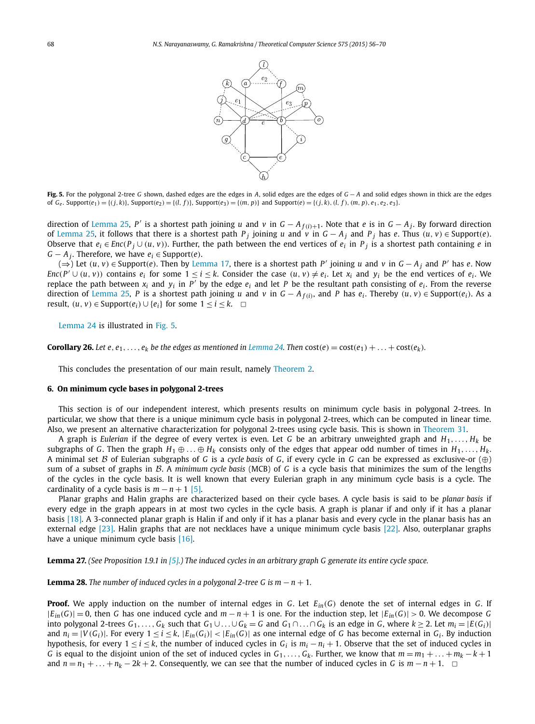

<span id="page-12-0"></span>**Fig. 5.** For the polygonal 2-tree *G* shown, dashed edges are the edges in *A*, solid edges are the edges of *G* − *A* and solid edges shown in thick are the edges of  $G_e$ . Support $(e_1) = \{(j, k)\}$ , Support $(e_2) = \{(l, f)\}$ , Support $(e_3) = \{(m, p)\}$  and Support $(e) = \{(j, k), (l, f), (m, p), e_1, e_2, e_3\}$ .

direction of [Lemma 25,](#page-11-0) *P'* is a shortest path joining *u* and *v* in *G* − *A*<sub>*f*(*i*)+1</sub>. Note that *e* is in *G* − *A*<sub>*j*</sub>. By forward direction of [Lemma 25,](#page-11-0) it follows that there is a shortest path  $P_i$  joining u and v in  $G - A_i$  and  $P_i$  has e. Thus  $(u, v) \in \text{Support}(e)$ . Observe that  $e_i \in \text{Enc}(P_i \cup (u, v))$ . Further, the path between the end vertices of  $e_i$  in  $P_i$  is a shortest path containing e in *G* − *A j*. Therefore, we have  $e_i$  ∈ Support $(e)$ .

(⇒) Let  $(u, v)$  ∈ Support(e). Then by [Lemma 17,](#page-6-0) there is a shortest path P' joining u and v in  $G - A_i$  and P' has e. Now  $Enc(P' \cup (u, v))$  contains  $e_i$  for some  $1 \le i \le k$ . Consider the case  $(u, v) \ne e_i$ . Let  $x_i$  and  $y_i$  be the end vertices of  $e_i$ . We replace the path between  $x_i$  and  $y_i$  in  $P'$  by the edge  $e_i$  and let P be the resultant path consisting of  $e_i$ . From the reverse direction of [Lemma 25,](#page-11-0) P is a shortest path joining u and v in  $G - A_{f(i)}$ , and P has  $e_i$ . Thereby  $(u, v) \in \text{Support}(e_i)$ . As a result,  $(u, v)$  ∈ Support $(e_i)$  ∪  $\{e_i\}$  for some  $1 \le i \le k$ .  $\Box$ 

[Lemma 24](#page-11-0) is illustrated in Fig. 5.

**Corollary 26.** Let e, e<sub>1</sub>, ..., e<sub>k</sub> be the edges as mentioned in [Lemma 24.](#page-11-0) Then cost(e) = cost(e<sub>1</sub>) + ... + cost(e<sub>k</sub>).

This concludes the presentation of our main result, namely [Theorem 2.](#page-1-0)

#### **6. On minimum cycle bases in polygonal 2-trees**

This section is of our independent interest, which presents results on minimum cycle basis in polygonal 2-trees. In particular, we show that there is a unique minimum cycle basis in polygonal 2-trees, which can be computed in linear time. Also, we present an alternative characterization for polygonal 2-trees using cycle basis. This is shown in [Theorem 31.](#page-13-0)

A graph is *Eulerian* if the degree of every vertex is even. Let *G* be an arbitrary unweighted graph and *H*1*,..., Hk* be subgraphs of *G*. Then the graph  $H_1 \oplus \ldots \oplus H_k$  consists only of the edges that appear odd number of times in  $H_1, \ldots, H_k$ . A minimal set B of Eulerian subgraphs of *<sup>G</sup>* is <sup>a</sup> *cycle basis* of *<sup>G</sup>*, if every cycle in *<sup>G</sup>* can be expressed as exclusive-or (⊕) sum of a subset of graphs in B. A *minimum cycle basis* (MCB) of *G* is a cycle basis that minimizes the sum of the lengths of the cycles in the cycle basis. It is well known that every Eulerian graph in any minimum cycle basis is a cycle. The cardinality of a cycle basis is  $m - n + 1$  [\[5\].](#page-13-0)

Planar graphs and Halin graphs are characterized based on their cycle bases. A cycle basis is said to be *planar basis* if every edge in the graph appears in at most two cycles in the cycle basis. A graph is planar if and only if it has a planar basis [\[18\].](#page-14-0) A 3-connected planar graph is Halin if and only if it has a planar basis and every cycle in the planar basis has an external edge [\[23\].](#page-14-0) Halin graphs that are not necklaces have a unique minimum cycle basis [\[22\].](#page-14-0) Also, outerplanar graphs have a unique minimum cycle basis [\[16\].](#page-13-0)

**Lemma 27.** (See Proposition 1.9.1 in  $[5]$ .) The induced cycles in an arbitrary graph G generate its entire cycle space.

**Lemma 28.** The number of induced cycles in a polygonal 2-tree G is  $m - n + 1$ .

**Proof.** We apply induction on the number of internal edges in *G*. Let *Ein(G)* denote the set of internal edges in *G*. If |*Ein(G)*| = 0, then *G* has one induced cycle and *m* − *n* + 1 is one. For the induction step, let |*Ein(G)*| *>* 0. We decompose *G* into polygonal 2-trees  $G_1, \ldots, G_k$  such that  $G_1 \cup \ldots \cup G_k = G$  and  $G_1 \cap \ldots \cap G_k$  is an edge in G, where  $k \ge 2$ . Let  $m_i = |E(G_i)|$ and  $n_i = |V(G_i)|$ . For every  $1 \le i \le k$ ,  $|E_{in}(G_i)| < |E_{in}(G)|$  as one internal edge of G has become external in  $G_i$ . By induction hypothesis, for every  $1 \le i \le k$ , the number of induced cycles in  $G_i$  is  $m_i - n_i + 1$ . Observe that the set of induced cycles in *G* is equal to the disjoint union of the set of induced cycles in  $G_1, \ldots, G_k$ . Further, we know that  $m = m_1 + \ldots + m_k - k + 1$ and  $n = n_1 + \ldots + n_k - 2k + 2$ . Consequently, we can see that the number of induced cycles in *G* is  $m - n + 1$ .  $\Box$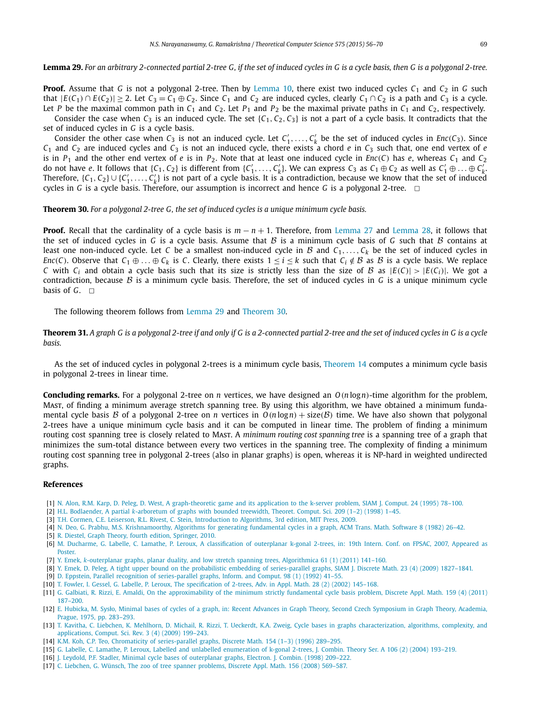<span id="page-13-0"></span>Lemma 29. For an arbitrary 2-connected partial 2-tree G, if the set of induced cycles in G is a cycle basis, then G is a polygonal 2-tree.

**Proof.** Assume that *G* is not a polygonal 2-tree. Then by [Lemma 10,](#page-3-0) there exist two induced cycles *C*<sup>1</sup> and *C*<sup>2</sup> in *G* such that  $|E(C_1) \cap E(C_2)| > 2$ . Let  $C_3 = C_1 \oplus C_2$ . Since  $C_1$  and  $C_2$  are induced cycles, clearly  $C_1 \cap C_2$  is a path and  $C_3$  is a cycle. Let *P* be the maximal common path in  $C_1$  and  $C_2$ . Let  $P_1$  and  $P_2$  be the maximal private paths in  $C_1$  and  $C_2$ , respectively. Consider the case when  $C_3$  is an induced cycle. The set  $\{C_1, C_2, C_3\}$  is not a part of a cycle basis. It contradicts that the set of induced cycles in *G* is a cycle basis.

Consider the other case when  $C_3$  is not an induced cycle. Let  $C'_1, \ldots, C'_k$  be the set of induced cycles in *Enc*( $C_3$ ). Since  $C_1$  and  $C_2$  are induced cycles and  $C_3$  is not an induced cycle, there exists a chord *e* in  $C_3$  such that, one end vertex of *e* is in  $P_1$  and the other end vertex of *e* is in  $P_2$ . Note that at least one induced cycle in  $Enc(C)$  has *e*, whereas  $C_1$  and  $C_2$ do not have e. It follows that  $\{C_1, C_2\}$  is different from  $\{C'_1, \ldots, C'_k\}$ . We can express  $C_3$  as  $C_1 \oplus C_2$  as well as  $C'_1 \oplus \ldots \oplus C'_k$ . Therefore,  $\{C_1, C_2\} \cup \{C'_1, \ldots, C'_k\}$  is not part of a cycle basis. It is a contradiction, because we know that the set of induced cycles in *G* is a cycle basis. Therefore, our assumption is incorrect and hence *G* is a polygonal 2-tree.  $\Box$ 

**Theorem 30.** *For a polygonal 2-tree G, the set of induced cycles is a unique minimum cycle basis.*

**Proof.** Recall that the cardinality of a cycle basis is *m* − *n* + 1. Therefore, from [Lemma 27](#page-12-0) and [Lemma 28,](#page-12-0) it follows that the set of induced cycles in *G* is a cycle basis. Assume that  $B$  is a minimum cycle basis of *G* such that  $B$  contains at least one non-induced cycle. Let *C* be a smallest non-induced cycle in  $B$  and  $C_1, \ldots, C_k$  be the set of induced cycles in *Enc*(*C*). Observe that  $C_1 \oplus \ldots \oplus C_k$  is *C*. Clearly, there exists  $1 \le i \le k$  such that  $C_i \notin \mathcal{B}$  as  $\mathcal{B}$  is a cycle basis. We replace *C* with  $C_i$  and obtain a cycle basis such that its size is strictly less than the size of  $B$  as  $|E(C)| > |E(C_i)|$ . We got a contradiction, because B is a minimum cycle basis. Therefore, the set of induced cycles in *G* is a unique minimum cycle basis of  $G$ .  $\Box$ 

The following theorem follows from Lemma 29 and Theorem 30.

**Theorem 31.** A graph G is a polygonal 2-tree if and only if G is a 2-connected partial 2-tree and the set of induced cycles in G is a cycle *basis.*

As the set of induced cycles in polygonal 2-trees is a minimum cycle basis, [Theorem 14](#page-5-0) computes a minimum cycle basis in polygonal 2-trees in linear time.

**Concluding remarks.** For a polygonal 2-tree on *n* vertices, we have designed an *O(n* log*n)*-time algorithm for the problem, Mast, of finding a minimum average stretch spanning tree. By using this algorithm, we have obtained a minimum fundamental cycle basis B of a polygonal 2-tree on *n* vertices in  $O(n \log n) + \text{size}(B)$  time. We have also shown that polygonal 2-trees have a unique minimum cycle basis and it can be computed in linear time. The problem of finding a minimum routing cost spanning tree is closely related to Mast. A *minimum routing cost spanning tree* is a spanning tree of a graph that minimizes the sum-total distance between every two vertices in the spanning tree. The complexity of finding a minimum routing cost spanning tree in polygonal 2-trees (also in planar graphs) is open, whereas it is NP-hard in weighted undirected graphs.

#### **References**

- [1] N. Alon, R.M. Karp, D. Peleg, D. West, A [graph-theoretic](http://refhub.elsevier.com/S0304-3975(14)00956-6/bib416C6F6E393567726170685468656F7265746963s1) game and its application to the k-server problem, SIAM J. Comput. 24 (1995) 78–100.
- [2] H.L. [Bodlaender,](http://refhub.elsevier.com/S0304-3975(14)00956-6/bib7061727469616C4B6172626F72657475726Ds1) A partial *k*-arboretum of graphs with bounded treewidth, Theoret. Comput. Sci. 209 (1–2) (1998) 1–45.
- [3] T.H. Cormen, C.E. Leiserson, R.L. Rivest, C. Stein, [Introduction](http://refhub.elsevier.com/S0304-3975(14)00956-6/bib436F726D656E426F6F6Bs1) to Algorithms, 3rd edition, MIT Press, 2009.
- [4] N. Deo, G. Prabhu, M.S. [Krishnamoorthy,](http://refhub.elsevier.com/S0304-3975(14)00956-6/bib44656F5F4D464342s1) Algorithms for generating fundamental cycles in a graph, ACM Trans. Math. Software 8 (1982) 26–42.
- [5] R. Diestel, Graph Theory, fourth edition, [Springer,](http://refhub.elsevier.com/S0304-3975(14)00956-6/bib4469657374656C32303130s1) 2010.
- [6] M. Ducharme, G. Labelle, C. Lamathe, P. Leroux, A [classification](http://refhub.elsevier.com/S0304-3975(14)00956-6/bib4D617274696E4F704B676F6E616C32303037s1) of outerplanar k-gonal 2-trees, in: 19th Intern. Conf. on FPSAC, 2007, Appeared as [Poster.](http://refhub.elsevier.com/S0304-3975(14)00956-6/bib4D617274696E4F704B676F6E616C32303037s1)
- [7] Y. Emek, *k*-outerplanar graphs, planar duality, and low stretch spanning trees, [Algorithmica](http://refhub.elsevier.com/S0304-3975(14)00956-6/bib456D656B4F75746572706C616E6172s1) 61 (1) (2011) 141–160.
- [8] Y. Emek, D. Peleg, A tight upper bound on the probabilistic embedding of [series-parallel](http://refhub.elsevier.com/S0304-3975(14)00956-6/bib456D656B536572696573506172616C6C656C5045s1) graphs, SIAM J. Discrete Math. 23 (4) (2009) 1827–1841.
- [9] D. Eppstein, Parallel recognition of [series-parallel](http://refhub.elsevier.com/S0304-3975(14)00956-6/bib457070737465696E39325350s1) graphs, Inform. and Comput. 98 (1) (1992) 41–55.
- [10] T. Fowler, I. Gessel, G. Labelle, P. Leroux, The [specification](http://refhub.elsevier.com/S0304-3975(14)00956-6/bib53706563696669636174696F6E32547265657332303032s1) of 2-trees, Adv. in Appl. Math. 28 (2) (2002) 145–168.
- [11] G. Galbiati, R. Rizzi, E. Amaldi, On the [approximability](http://refhub.elsevier.com/S0304-3975(14)00956-6/bib47616C6269617469417070726F78s1) of the minimum strictly fundamental cycle basis problem, Discrete Appl. Math. 159 (4) (2011) [187–200.](http://refhub.elsevier.com/S0304-3975(14)00956-6/bib47616C6269617469417070726F78s1)
- [12] E. Hubicka, M. Sysło, Minimal bases of cycles of a graph, in: Recent Advances in Graph Theory, Second Czech [Symposium](http://refhub.elsevier.com/S0304-3975(14)00956-6/bib687562696B615379736C6Fs1) in Graph Theory, Academia, Prague, 1975, [pp. 283–293.](http://refhub.elsevier.com/S0304-3975(14)00956-6/bib687562696B615379736C6Fs1)
- [13] T. Kavitha, C. Liebchen, K. Mehlhorn, D. Michail, R. Rizzi, T. Ueckerdt, K.A. Zweig, Cycle bases in graphs [characterization,](http://refhub.elsevier.com/S0304-3975(14)00956-6/bib4B617669746861537572766579s1) algorithms, complexity, and [applications,](http://refhub.elsevier.com/S0304-3975(14)00956-6/bib4B617669746861537572766579s1) Comput. Sci. Rev. 3 (4) (2009) 199–243.
- [14] K.M. Koh, C.P. Teo, Chromaticity of [series-parallel](http://refhub.elsevier.com/S0304-3975(14)00956-6/bib4B6F68535067726170687331393936s1) graphs, Discrete Math. 154 (1–3) (1996) 289–295.
- [15] G. Labelle, C. Lamathe, P. Leroux, Labelled and unlabelled [enumeration](http://refhub.elsevier.com/S0304-3975(14)00956-6/bib47696C626572744C6162656C6C65644B676F6E616C32303034s1) of k-gonal 2-trees, J. Combin. Theory Ser. A 106 (2) (2004) 193–219.
- [16] J. Leydold, P.F. Stadler, Minimal cycle bases of [outerplanar](http://refhub.elsevier.com/S0304-3975(14)00956-6/bib4C6579646F6C644F75746572506C616E617243686172s1) graphs, Electron. J. Combin. (1998) 209–222.
- [17] C. Liebchen, G. Wünsch, The zoo of tree spanner [problems,](http://refhub.elsevier.com/S0304-3975(14)00956-6/bib4C6965626368656E5A6F6F4F66547265655370616E6E657273s1) Discrete Appl. Math. 156 (2008) 569–587.